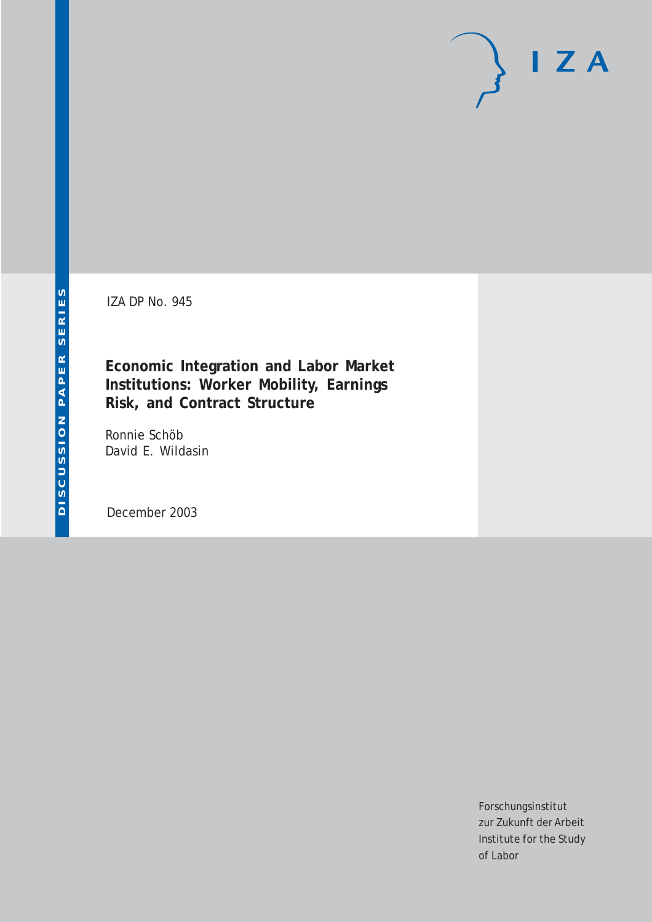IZA DP No. 945

**Economic Integration and Labor Market Institutions: Worker Mobility, Earnings Risk, and Contract Structure**

Ronnie Schöb David E. Wildasin

December 2003

Forschungsinstitut zur Zukunft der Arbeit Institute for the Study of Labor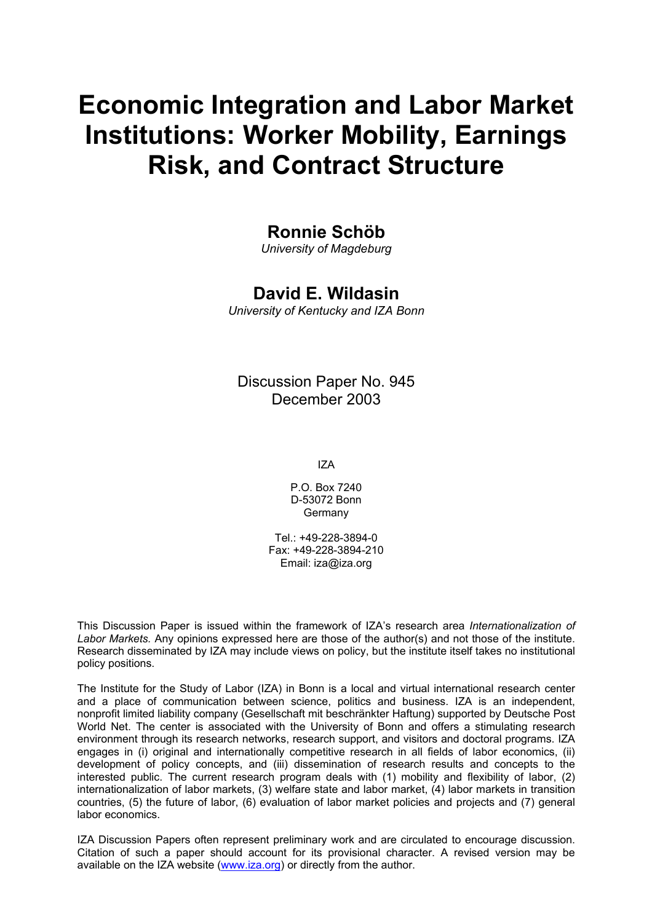# **Economic Integration and Labor Market Institutions: Worker Mobility, Earnings Risk, and Contract Structure**

## **Ronnie Schöb**

*University of Magdeburg* 

## **David E. Wildasin**

*University of Kentucky and IZA Bonn* 

Discussion Paper No. 945 December 2003

IZA

P.O. Box 7240 D-53072 Bonn Germany

Tel.: +49-228-3894-0 Fax: +49-228-3894-210 Email: [iza@iza.org](mailto:iza@iza.org)

This Discussion Paper is issued within the framework of IZA's research area *Internationalization of Labor Markets.* Any opinions expressed here are those of the author(s) and not those of the institute. Research disseminated by IZA may include views on policy, but the institute itself takes no institutional policy positions.

The Institute for the Study of Labor (IZA) in Bonn is a local and virtual international research center and a place of communication between science, politics and business. IZA is an independent, nonprofit limited liability company (Gesellschaft mit beschränkter Haftung) supported by Deutsche Post World Net. The center is associated with the University of Bonn and offers a stimulating research environment through its research networks, research support, and visitors and doctoral programs. IZA engages in (i) original and internationally competitive research in all fields of labor economics, (ii) development of policy concepts, and (iii) dissemination of research results and concepts to the interested public. The current research program deals with (1) mobility and flexibility of labor, (2) internationalization of labor markets, (3) welfare state and labor market, (4) labor markets in transition countries, (5) the future of labor, (6) evaluation of labor market policies and projects and (7) general labor economics.

IZA Discussion Papers often represent preliminary work and are circulated to encourage discussion. Citation of such a paper should account for its provisional character. A revised version may be available on the IZA website ([www.iza.org](http://www.iza.org/)) or directly from the author.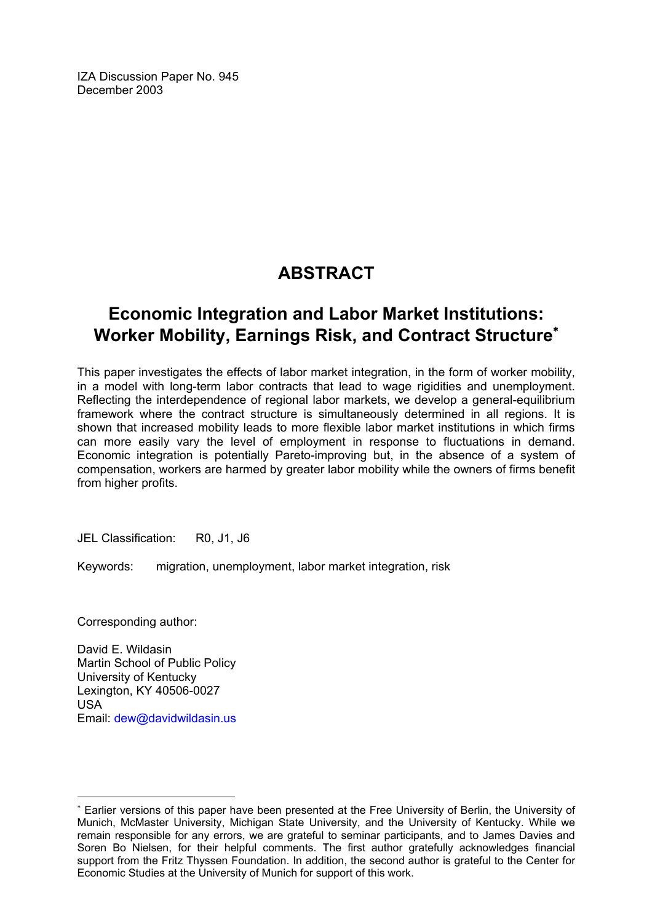IZA Discussion Paper No. 945 December 2003

# **ABSTRACT**

# **Economic Integration and Labor Market Institutions: Worker Mobility, Earnings Risk, and Contract Structure**[∗](#page-2-0)

This paper investigates the effects of labor market integration, in the form of worker mobility, in a model with long-term labor contracts that lead to wage rigidities and unemployment. Reflecting the interdependence of regional labor markets, we develop a general-equilibrium framework where the contract structure is simultaneously determined in all regions. It is shown that increased mobility leads to more flexible labor market institutions in which firms can more easily vary the level of employment in response to fluctuations in demand. Economic integration is potentially Pareto-improving but, in the absence of a system of compensation, workers are harmed by greater labor mobility while the owners of firms benefit from higher profits.

JEL Classification: R0, J1, J6

Keywords: migration, unemployment, labor market integration, risk

Corresponding author:

 $\overline{a}$ 

David E. Wildasin Martin School of Public Policy University of Kentucky Lexington, KY 40506-0027 USA Email: [dew@davidwildasin.us](mailto:dew@davidwildasin.us)

<span id="page-2-0"></span><sup>∗</sup> Earlier versions of this paper have been presented at the Free University of Berlin, the University of Munich, McMaster University, Michigan State University, and the University of Kentucky. While we remain responsible for any errors, we are grateful to seminar participants, and to James Davies and Soren Bo Nielsen, for their helpful comments. The first author gratefully acknowledges financial support from the Fritz Thyssen Foundation. In addition, the second author is grateful to the Center for Economic Studies at the University of Munich for support of this work.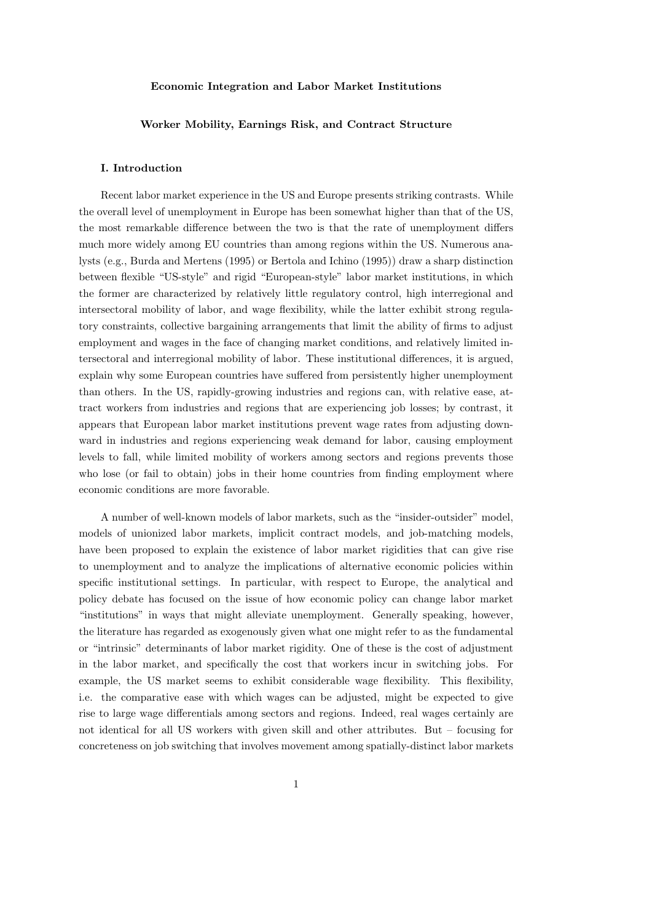#### Economic Integration and Labor Market Institutions

#### Worker Mobility, Earnings Risk, and Contract Structure

#### I. Introduction

Recent labor market experience in the US and Europe presents striking contrasts. While the overall level of unemployment in Europe has been somewhat higher than that of the US, the most remarkable difference between the two is that the rate of unemployment differs much more widely among EU countries than among regions within the US. Numerous analysts (e.g., Burda and Mertens (1995) or Bertola and Ichino (1995)) draw a sharp distinction between flexible "US-style" and rigid "European-style" labor market institutions, in which the former are characterized by relatively little regulatory control, high interregional and intersectoral mobility of labor, and wage flexibility, while the latter exhibit strong regulatory constraints, collective bargaining arrangements that limit the ability of firms to adjust employment and wages in the face of changing market conditions, and relatively limited intersectoral and interregional mobility of labor. These institutional differences, it is argued, explain why some European countries have suffered from persistently higher unemployment than others. In the US, rapidly-growing industries and regions can, with relative ease, attract workers from industries and regions that are experiencing job losses; by contrast, it appears that European labor market institutions prevent wage rates from adjusting downward in industries and regions experiencing weak demand for labor, causing employment levels to fall, while limited mobility of workers among sectors and regions prevents those who lose (or fail to obtain) jobs in their home countries from finding employment where economic conditions are more favorable.

A number of well-known models of labor markets, such as the "insider-outsider" model, models of unionized labor markets, implicit contract models, and job-matching models, have been proposed to explain the existence of labor market rigidities that can give rise to unemployment and to analyze the implications of alternative economic policies within specific institutional settings. In particular, with respect to Europe, the analytical and policy debate has focused on the issue of how economic policy can change labor market "institutions" in ways that might alleviate unemployment. Generally speaking, however, the literature has regarded as exogenously given what one might refer to as the fundamental or "intrinsic" determinants of labor market rigidity. One of these is the cost of adjustment in the labor market, and specifically the cost that workers incur in switching jobs. For example, the US market seems to exhibit considerable wage flexibility. This flexibility, i.e. the comparative ease with which wages can be adjusted, might be expected to give rise to large wage differentials among sectors and regions. Indeed, real wages certainly are not identical for all US workers with given skill and other attributes. But – focusing for concreteness on job switching that involves movement among spatially-distinct labor markets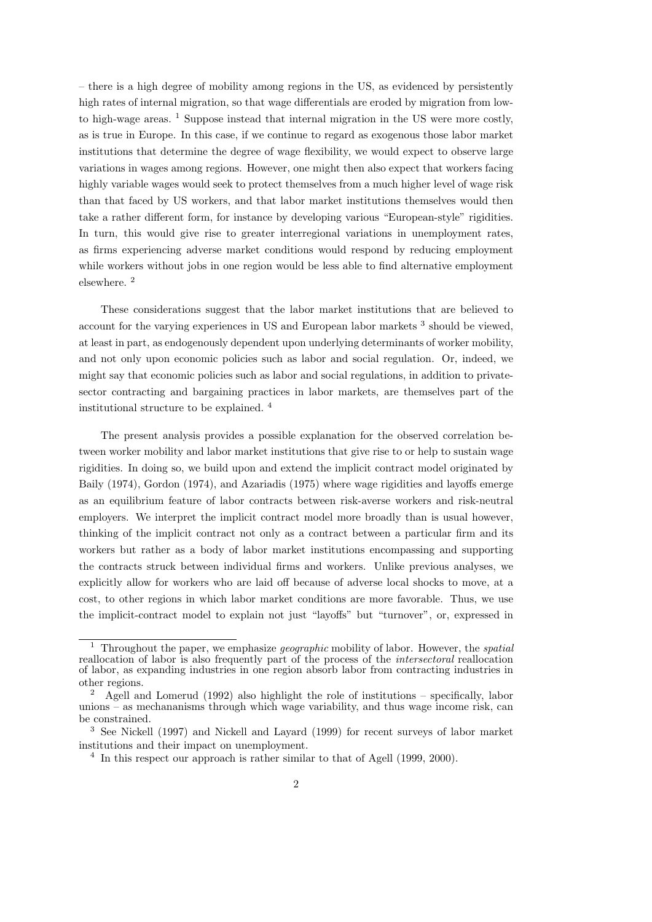– there is a high degree of mobility among regions in the US, as evidenced by persistently high rates of internal migration, so that wage differentials are eroded by migration from lowto high-wage areas. <sup>1</sup> Suppose instead that internal migration in the US were more costly, as is true in Europe. In this case, if we continue to regard as exogenous those labor market institutions that determine the degree of wage flexibility, we would expect to observe large variations in wages among regions. However, one might then also expect that workers facing highly variable wages would seek to protect themselves from a much higher level of wage risk than that faced by US workers, and that labor market institutions themselves would then take a rather different form, for instance by developing various "European-style" rigidities. In turn, this would give rise to greater interregional variations in unemployment rates, as firms experiencing adverse market conditions would respond by reducing employment while workers without jobs in one region would be less able to find alternative employment elsewhere. <sup>2</sup>

These considerations suggest that the labor market institutions that are believed to account for the varying experiences in US and European labor markets<sup>3</sup> should be viewed, at least in part, as endogenously dependent upon underlying determinants of worker mobility, and not only upon economic policies such as labor and social regulation. Or, indeed, we might say that economic policies such as labor and social regulations, in addition to privatesector contracting and bargaining practices in labor markets, are themselves part of the institutional structure to be explained. <sup>4</sup>

The present analysis provides a possible explanation for the observed correlation between worker mobility and labor market institutions that give rise to or help to sustain wage rigidities. In doing so, we build upon and extend the implicit contract model originated by Baily (1974), Gordon (1974), and Azariadis (1975) where wage rigidities and layoffs emerge as an equilibrium feature of labor contracts between risk-averse workers and risk-neutral employers. We interpret the implicit contract model more broadly than is usual however, thinking of the implicit contract not only as a contract between a particular firm and its workers but rather as a body of labor market institutions encompassing and supporting the contracts struck between individual firms and workers. Unlike previous analyses, we explicitly allow for workers who are laid off because of adverse local shocks to move, at a cost, to other regions in which labor market conditions are more favorable. Thus, we use the implicit-contract model to explain not just "layoffs" but "turnover", or, expressed in

<sup>&</sup>lt;sup>1</sup> Throughout the paper, we emphasize *geographic* mobility of labor. However, the *spatial* reallocation of labor is also frequently part of the process of the intersectoral reallocation of labor, as expanding industries in one region absorb labor from contracting industries in other regions.

<sup>2</sup> Agell and Lomerud (1992) also highlight the role of institutions – specifically, labor unions – as mechananisms through which wage variability, and thus wage income risk, can be constrained.

<sup>3</sup> See Nickell (1997) and Nickell and Layard (1999) for recent surveys of labor market institutions and their impact on unemployment.

<sup>&</sup>lt;sup>4</sup> In this respect our approach is rather similar to that of Agell (1999, 2000).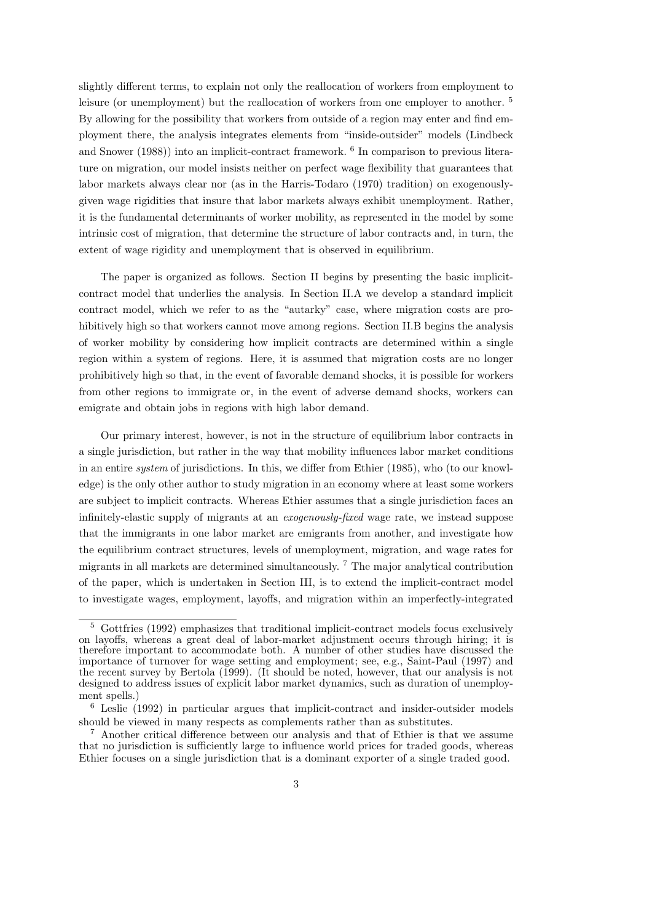slightly different terms, to explain not only the reallocation of workers from employment to leisure (or unemployment) but the reallocation of workers from one employer to another. <sup>5</sup> By allowing for the possibility that workers from outside of a region may enter and find employment there, the analysis integrates elements from "inside-outsider" models (Lindbeck and Snower (1988)) into an implicit-contract framework. <sup>6</sup> In comparison to previous literature on migration, our model insists neither on perfect wage flexibility that guarantees that labor markets always clear nor (as in the Harris-Todaro (1970) tradition) on exogenouslygiven wage rigidities that insure that labor markets always exhibit unemployment. Rather, it is the fundamental determinants of worker mobility, as represented in the model by some intrinsic cost of migration, that determine the structure of labor contracts and, in turn, the extent of wage rigidity and unemployment that is observed in equilibrium.

The paper is organized as follows. Section II begins by presenting the basic implicitcontract model that underlies the analysis. In Section II.A we develop a standard implicit contract model, which we refer to as the "autarky" case, where migration costs are prohibitively high so that workers cannot move among regions. Section II.B begins the analysis of worker mobility by considering how implicit contracts are determined within a single region within a system of regions. Here, it is assumed that migration costs are no longer prohibitively high so that, in the event of favorable demand shocks, it is possible for workers from other regions to immigrate or, in the event of adverse demand shocks, workers can emigrate and obtain jobs in regions with high labor demand.

Our primary interest, however, is not in the structure of equilibrium labor contracts in a single jurisdiction, but rather in the way that mobility influences labor market conditions in an entire system of jurisdictions. In this, we differ from Ethier (1985), who (to our knowledge) is the only other author to study migration in an economy where at least some workers are subject to implicit contracts. Whereas Ethier assumes that a single jurisdiction faces an infinitely-elastic supply of migrants at an exogenously-fixed wage rate, we instead suppose that the immigrants in one labor market are emigrants from another, and investigate how the equilibrium contract structures, levels of unemployment, migration, and wage rates for migrants in all markets are determined simultaneously. <sup>7</sup> The major analytical contribution of the paper, which is undertaken in Section III, is to extend the implicit-contract model to investigate wages, employment, layoffs, and migration within an imperfectly-integrated

<sup>5</sup> Gottfries (1992) emphasizes that traditional implicit-contract models focus exclusively on layoffs, whereas a great deal of labor-market adjustment occurs through hiring; it is therefore important to accommodate both. A number of other studies have discussed the importance of turnover for wage setting and employment; see, e.g., Saint-Paul (1997) and the recent survey by Bertola (1999). (It should be noted, however, that our analysis is not designed to address issues of explicit labor market dynamics, such as duration of unemployment spells.)

<sup>6</sup> Leslie (1992) in particular argues that implicit-contract and insider-outsider models should be viewed in many respects as complements rather than as substitutes.

 $7 \text{ Another critical difference between our analysis and that of Ethier is that we assume.}$ that no jurisdiction is sufficiently large to influence world prices for traded goods, whereas Ethier focuses on a single jurisdiction that is a dominant exporter of a single traded good.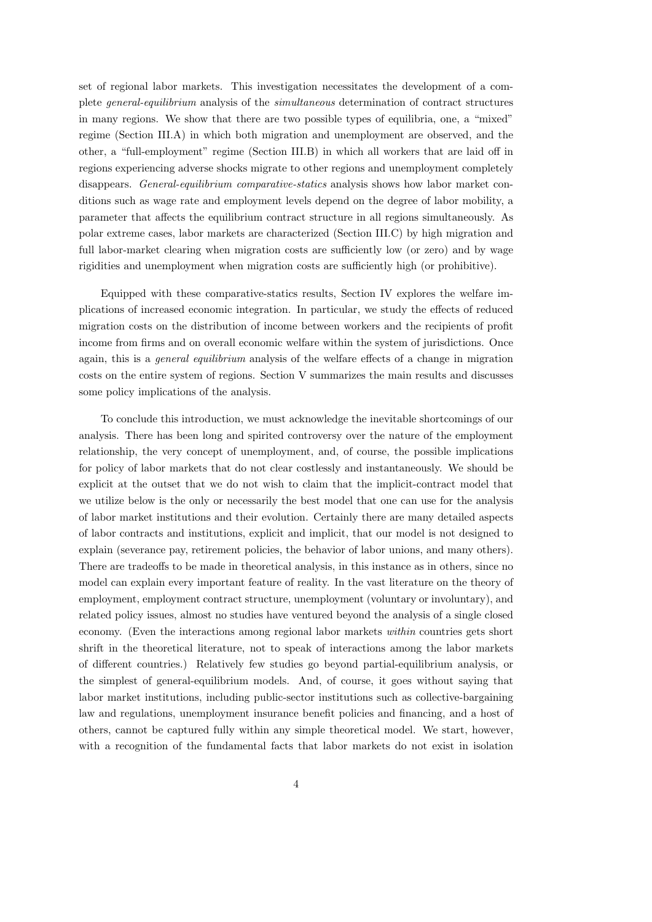set of regional labor markets. This investigation necessitates the development of a complete general-equilibrium analysis of the simultaneous determination of contract structures in many regions. We show that there are two possible types of equilibria, one, a "mixed" regime (Section III.A) in which both migration and unemployment are observed, and the other, a "full-employment" regime (Section III.B) in which all workers that are laid off in regions experiencing adverse shocks migrate to other regions and unemployment completely disappears. General-equilibrium comparative-statics analysis shows how labor market conditions such as wage rate and employment levels depend on the degree of labor mobility, a parameter that affects the equilibrium contract structure in all regions simultaneously. As polar extreme cases, labor markets are characterized (Section III.C) by high migration and full labor-market clearing when migration costs are sufficiently low (or zero) and by wage rigidities and unemployment when migration costs are sufficiently high (or prohibitive).

Equipped with these comparative-statics results, Section IV explores the welfare implications of increased economic integration. In particular, we study the effects of reduced migration costs on the distribution of income between workers and the recipients of profit income from firms and on overall economic welfare within the system of jurisdictions. Once again, this is a general equilibrium analysis of the welfare effects of a change in migration costs on the entire system of regions. Section V summarizes the main results and discusses some policy implications of the analysis.

To conclude this introduction, we must acknowledge the inevitable shortcomings of our analysis. There has been long and spirited controversy over the nature of the employment relationship, the very concept of unemployment, and, of course, the possible implications for policy of labor markets that do not clear costlessly and instantaneously. We should be explicit at the outset that we do not wish to claim that the implicit-contract model that we utilize below is the only or necessarily the best model that one can use for the analysis of labor market institutions and their evolution. Certainly there are many detailed aspects of labor contracts and institutions, explicit and implicit, that our model is not designed to explain (severance pay, retirement policies, the behavior of labor unions, and many others). There are tradeoffs to be made in theoretical analysis, in this instance as in others, since no model can explain every important feature of reality. In the vast literature on the theory of employment, employment contract structure, unemployment (voluntary or involuntary), and related policy issues, almost no studies have ventured beyond the analysis of a single closed economy. (Even the interactions among regional labor markets within countries gets short shrift in the theoretical literature, not to speak of interactions among the labor markets of different countries.) Relatively few studies go beyond partial-equilibrium analysis, or the simplest of general-equilibrium models. And, of course, it goes without saying that labor market institutions, including public-sector institutions such as collective-bargaining law and regulations, unemployment insurance benefit policies and financing, and a host of others, cannot be captured fully within any simple theoretical model. We start, however, with a recognition of the fundamental facts that labor markets do not exist in isolation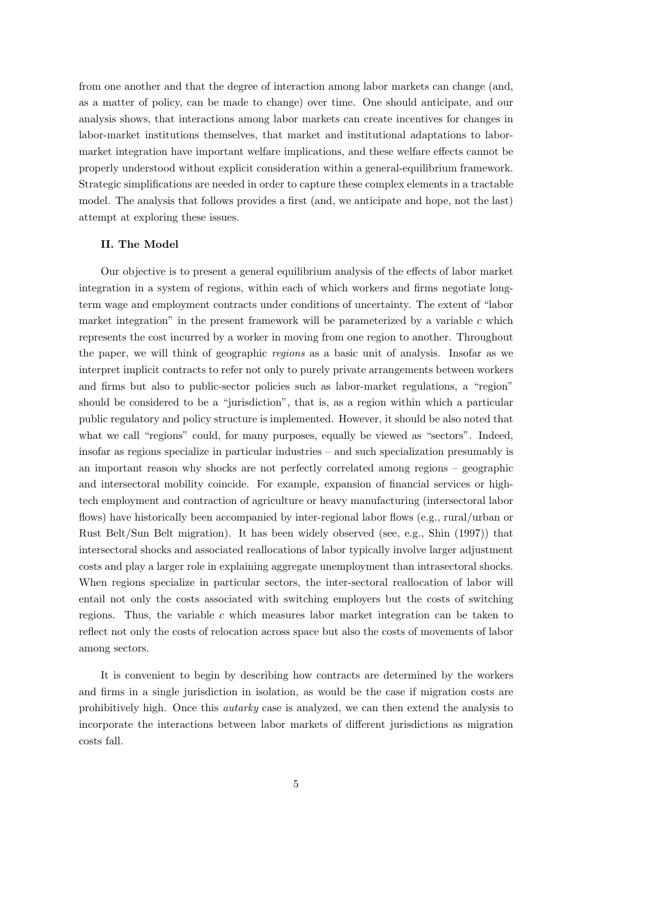from one another and that the degree of interaction among labor markets can change (and, as a matter of policy, can be made to change) over time. One should anticipate, and our analysis shows, that interactions among labor markets can create incentives for changes in labor-market institutions themselves, that market and institutional adaptations to labormarket integration have important welfare implications, and these welfare effects cannot be properly understood without explicit consideration within a general-equilibrium framework. Strategic simplifications are needed in order to capture these complex elements in a tractable model. The analysis that follows provides a first (and, we anticipate and hope, not the last) attempt at exploring these issues.

#### II. The Model

Our objective is to present a general equilibrium analysis of the effects of labor market integration in a system of regions, within each of which workers and firms negotiate longterm wage and employment contracts under conditions of uncertainty. The extent of "labor market integration" in the present framework will be parameterized by a variable c which represents the cost incurred by a worker in moving from one region to another. Throughout the paper, we will think of geographic regions as a basic unit of analysis. Insofar as we interpret implicit contracts to refer not only to purely private arrangements between workers and firms but also to public-sector policies such as labor-market regulations, a "region" should be considered to be a "jurisdiction", that is, as a region within which a particular public regulatory and policy structure is implemented. However, it should be also noted that what we call "regions" could, for many purposes, equally be viewed as "sectors". Indeed, insofar as regions specialize in particular industries – and such specialization presumably is an important reason why shocks are not perfectly correlated among regions – geographic and intersectoral mobility coincide. For example, expansion of financial services or hightech employment and contraction of agriculture or heavy manufacturing (intersectoral labor flows) have historically been accompanied by inter-regional labor flows (e.g., rural/urban or Rust Belt/Sun Belt migration). It has been widely observed (see, e.g., Shin (1997)) that intersectoral shocks and associated reallocations of labor typically involve larger adjustment costs and play a larger role in explaining aggregate unemployment than intrasectoral shocks. When regions specialize in particular sectors, the inter-sectoral reallocation of labor will entail not only the costs associated with switching employers but the costs of switching regions. Thus, the variable  $c$  which measures labor market integration can be taken to reflect not only the costs of relocation across space but also the costs of movements of labor among sectors.

It is convenient to begin by describing how contracts are determined by the workers and firms in a single jurisdiction in isolation, as would be the case if migration costs are prohibitively high. Once this autarky case is analyzed, we can then extend the analysis to incorporate the interactions between labor markets of different jurisdictions as migration costs fall.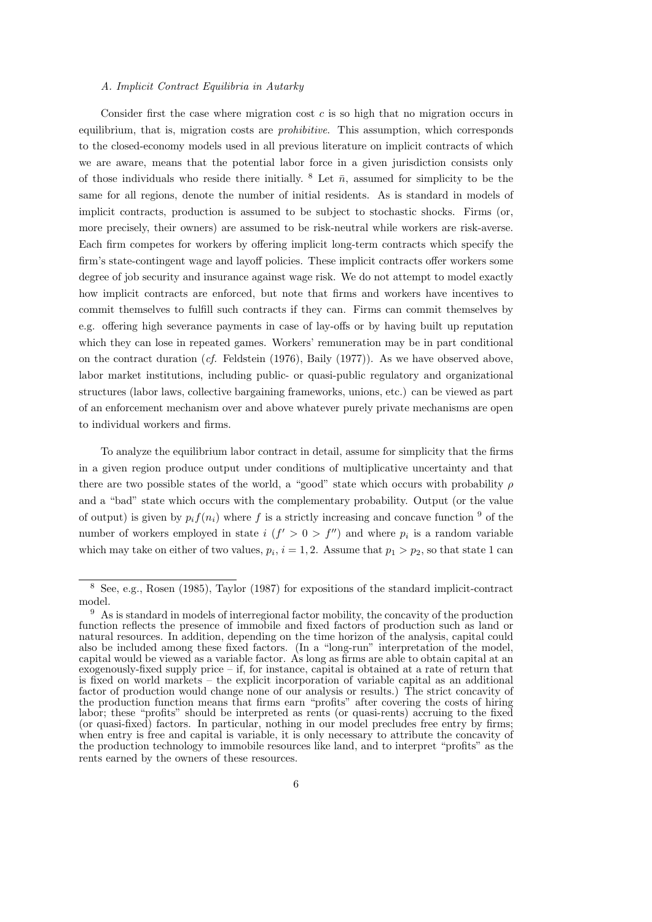#### A. Implicit Contract Equilibria in Autarky

Consider first the case where migration cost c is so high that no migration occurs in equilibrium, that is, migration costs are prohibitive. This assumption, which corresponds to the closed-economy models used in all previous literature on implicit contracts of which we are aware, means that the potential labor force in a given jurisdiction consists only of those individuals who reside there initially. <sup>8</sup> Let  $\bar{n}$ , assumed for simplicity to be the same for all regions, denote the number of initial residents. As is standard in models of implicit contracts, production is assumed to be subject to stochastic shocks. Firms (or, more precisely, their owners) are assumed to be risk-neutral while workers are risk-averse. Each firm competes for workers by offering implicit long-term contracts which specify the firm's state-contingent wage and layoff policies. These implicit contracts offer workers some degree of job security and insurance against wage risk. We do not attempt to model exactly how implicit contracts are enforced, but note that firms and workers have incentives to commit themselves to fulfill such contracts if they can. Firms can commit themselves by e.g. offering high severance payments in case of lay-offs or by having built up reputation which they can lose in repeated games. Workers' remuneration may be in part conditional on the contract duration (*cf.* Feldstein (1976), Baily (1977)). As we have observed above, labor market institutions, including public- or quasi-public regulatory and organizational structures (labor laws, collective bargaining frameworks, unions, etc.) can be viewed as part of an enforcement mechanism over and above whatever purely private mechanisms are open to individual workers and firms.

To analyze the equilibrium labor contract in detail, assume for simplicity that the firms in a given region produce output under conditions of multiplicative uncertainty and that there are two possible states of the world, a "good" state which occurs with probability  $\rho$ and a "bad" state which occurs with the complementary probability. Output (or the value of output) is given by  $p_i f(n_i)$  where f is a strictly increasing and concave function  $\frac{9}{9}$  of the number of workers employed in state  $i$   $(f' > 0 > f'')$  and where  $p_i$  is a random variable which may take on either of two values,  $p_i$ ,  $i = 1, 2$ . Assume that  $p_1 > p_2$ , so that state 1 can

<sup>8</sup> See, e.g., Rosen (1985), Taylor (1987) for expositions of the standard implicit-contract model.

<sup>&</sup>lt;sup>9</sup> As is standard in models of interregional factor mobility, the concavity of the production function reflects the presence of immobile and fixed factors of production such as land or natural resources. In addition, depending on the time horizon of the analysis, capital could also be included among these fixed factors. (In a "long-run" interpretation of the model, capital would be viewed as a variable factor. As long as firms are able to obtain capital at an exogenously-fixed supply price  $-$  if, for instance, capital is obtained at a rate of return that is fixed on world markets – the explicit incorporation of variable capital as an additional factor of production would change none of our analysis or results.) The strict concavity of the production function means that firms earn "profits" after covering the costs of hiring labor; these "profits" should be interpreted as rents (or quasi-rents) accruing to the fixed (or quasi-fixed) factors. In particular, nothing in our model precludes free entry by firms; when entry is free and capital is variable, it is only necessary to attribute the concavity of the production technology to immobile resources like land, and to interpret "profits" as the rents earned by the owners of these resources.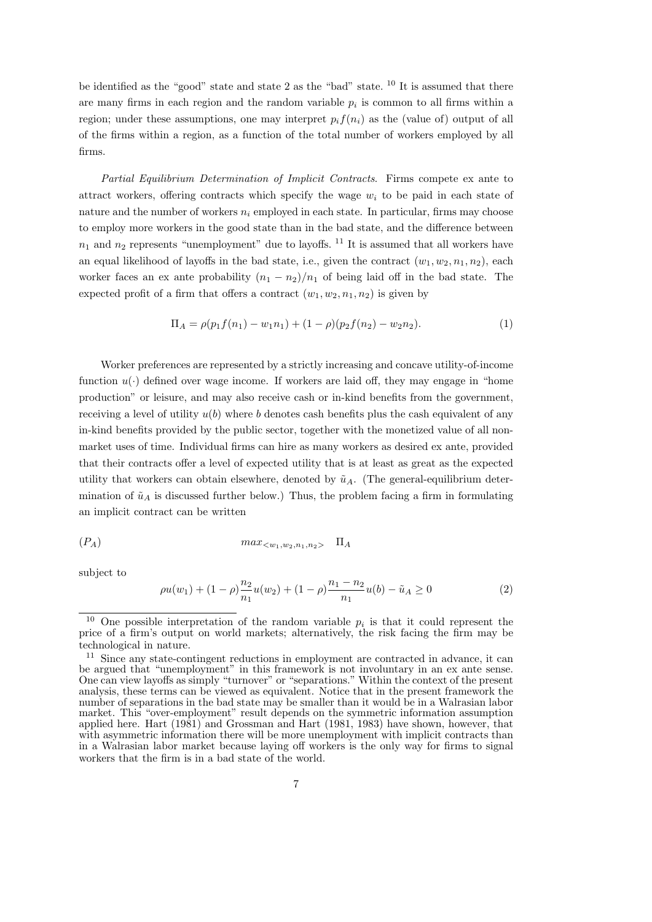be identified as the "good" state and state 2 as the "bad" state.  $^{10}$  It is assumed that there are many firms in each region and the random variable  $p_i$  is common to all firms within a region; under these assumptions, one may interpret  $p_i f(n_i)$  as the (value of) output of all of the firms within a region, as a function of the total number of workers employed by all firms.

Partial Equilibrium Determination of Implicit Contracts. Firms compete ex ante to attract workers, offering contracts which specify the wage  $w<sub>i</sub>$  to be paid in each state of nature and the number of workers  $n_i$  employed in each state. In particular, firms may choose to employ more workers in the good state than in the bad state, and the difference between  $n_1$  and  $n_2$  represents "unemployment" due to layoffs. <sup>11</sup> It is assumed that all workers have an equal likelihood of layoffs in the bad state, i.e., given the contract  $(w_1, w_2, n_1, n_2)$ , each worker faces an ex ante probability  $(n_1 - n_2)/n_1$  of being laid off in the bad state. The expected profit of a firm that offers a contract  $(w_1, w_2, n_1, n_2)$  is given by

$$
\Pi_A = \rho(p_1 f(n_1) - w_1 n_1) + (1 - \rho)(p_2 f(n_2) - w_2 n_2). \tag{1}
$$

Worker preferences are represented by a strictly increasing and concave utility-of-income function  $u(\cdot)$  defined over wage income. If workers are laid off, they may engage in "home production" or leisure, and may also receive cash or in-kind benefits from the government, receiving a level of utility  $u(b)$  where b denotes cash benefits plus the cash equivalent of any in-kind benefits provided by the public sector, together with the monetized value of all nonmarket uses of time. Individual firms can hire as many workers as desired ex ante, provided that their contracts offer a level of expected utility that is at least as great as the expected utility that workers can obtain elsewhere, denoted by  $\tilde{u}_A$ . (The general-equilibrium determination of  $\tilde{u}_A$  is discussed further below.) Thus, the problem facing a firm in formulating an implicit contract can be written

$$
(P_A) \t max<_{w_1,w_2,n_1,n_2>} \quad \Pi_A
$$

subject to

$$
\rho u(w_1) + (1 - \rho) \frac{n_2}{n_1} u(w_2) + (1 - \rho) \frac{n_1 - n_2}{n_1} u(b) - \tilde{u}_A \ge 0
$$
\n(2)

<sup>&</sup>lt;sup>10</sup> One possible interpretation of the random variable  $p_i$  is that it could represent the price of a firm's output on world markets; alternatively, the risk facing the firm may be technological in nature.

<sup>&</sup>lt;sup>11</sup> Since any state-contingent reductions in employment are contracted in advance, it can be argued that "unemployment" in this framework is not involuntary in an ex ante sense. One can view layoffs as simply "turnover" or "separations." Within the context of the present analysis, these terms can be viewed as equivalent. Notice that in the present framework the number of separations in the bad state may be smaller than it would be in a Walrasian labor market. This "over-employment" result depends on the symmetric information assumption applied here. Hart (1981) and Grossman and Hart (1981, 1983) have shown, however, that with asymmetric information there will be more unemployment with implicit contracts than in a Walrasian labor market because laying off workers is the only way for firms to signal workers that the firm is in a bad state of the world.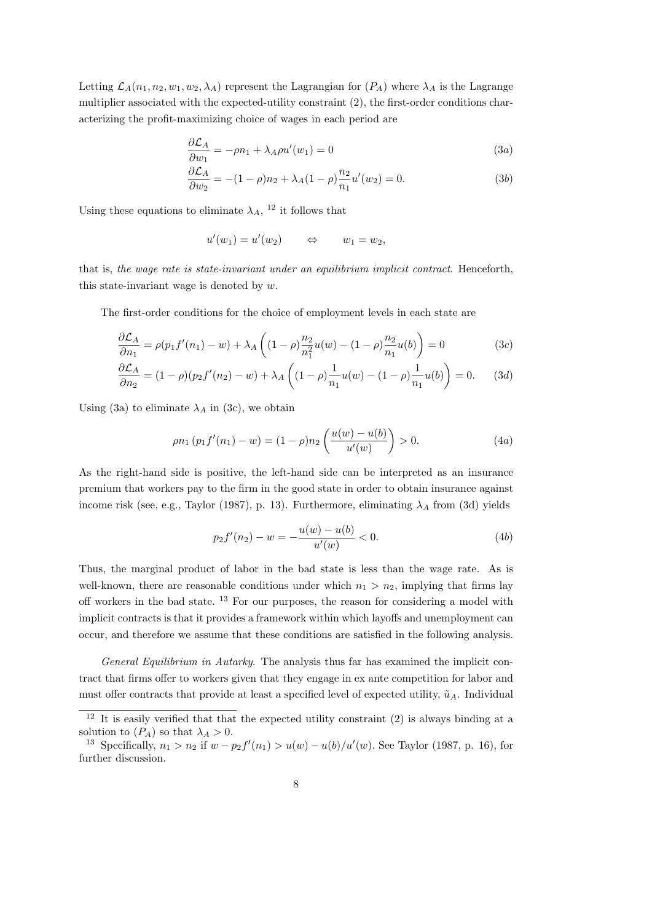Letting  $\mathcal{L}_A(n_1, n_2, w_1, w_2, \lambda_A)$  represent the Lagrangian for  $(P_A)$  where  $\lambda_A$  is the Lagrange multiplier associated with the expected-utility constraint (2), the first-order conditions characterizing the profit-maximizing choice of wages in each period are

$$
\frac{\partial \mathcal{L}_A}{\partial w_1} = -\rho n_1 + \lambda_A \rho u'(w_1) = 0 \tag{3a}
$$

$$
\frac{\partial \mathcal{L}_A}{\partial w_2} = -(1 - \rho)n_2 + \lambda_A (1 - \rho) \frac{n_2}{n_1} u'(w_2) = 0.
$$
 (3b)

Using these equations to eliminate  $\lambda_A$ , <sup>12</sup> it follows that

$$
u'(w_1) = u'(w_2) \qquad \Leftrightarrow \qquad w_1 = w_2,
$$

that is, the wage rate is state-invariant under an equilibrium implicit contract. Henceforth, this state-invariant wage is denoted by  $w$ .

The first-order conditions for the choice of employment levels in each state are

$$
\frac{\partial \mathcal{L}_A}{\partial n_1} = \rho(p_1 f'(n_1) - w) + \lambda_A \left( (1 - \rho) \frac{n_2}{n_1^2} u(w) - (1 - \rho) \frac{n_2}{n_1} u(b) \right) = 0 \tag{3c}
$$

$$
\frac{\partial \mathcal{L}_A}{\partial n_2} = (1 - \rho)(p_2 f'(n_2) - w) + \lambda_A \left( (1 - \rho) \frac{1}{n_1} u(w) - (1 - \rho) \frac{1}{n_1} u(b) \right) = 0. \tag{3d}
$$

Using (3a) to eliminate  $\lambda_A$  in (3c), we obtain

$$
\rho n_1 (p_1 f'(n_1) - w) = (1 - \rho) n_2 \left( \frac{u(w) - u(b)}{u'(w)} \right) > 0. \tag{4a}
$$

As the right-hand side is positive, the left-hand side can be interpreted as an insurance premium that workers pay to the firm in the good state in order to obtain insurance against income risk (see, e.g., Taylor (1987), p. 13). Furthermore, eliminating  $\lambda_A$  from (3d) yields

$$
p_2 f'(n_2) - w = -\frac{u(w) - u(b)}{u'(w)} < 0. \tag{4b}
$$

Thus, the marginal product of labor in the bad state is less than the wage rate. As is well-known, there are reasonable conditions under which  $n_1 > n_2$ , implying that firms lay off workers in the bad state.  $^{13}$  For our purposes, the reason for considering a model with implicit contracts is that it provides a framework within which layoffs and unemployment can occur, and therefore we assume that these conditions are satisfied in the following analysis.

General Equilibrium in Autarky. The analysis thus far has examined the implicit contract that firms offer to workers given that they engage in ex ante competition for labor and must offer contracts that provide at least a specified level of expected utility,  $\tilde{u}_A$ . Individual

 $12$  It is easily verified that that the expected utility constraint (2) is always binding at a solution to  $(P_A)$  so that  $\lambda_A > 0$ .

<sup>&</sup>lt;sup>13</sup> Specifically,  $n_1 > n_2$  if  $w - p_2 f'(n_1) > u(w) - u(b)/u'(w)$ . See Taylor (1987, p. 16), for further discussion.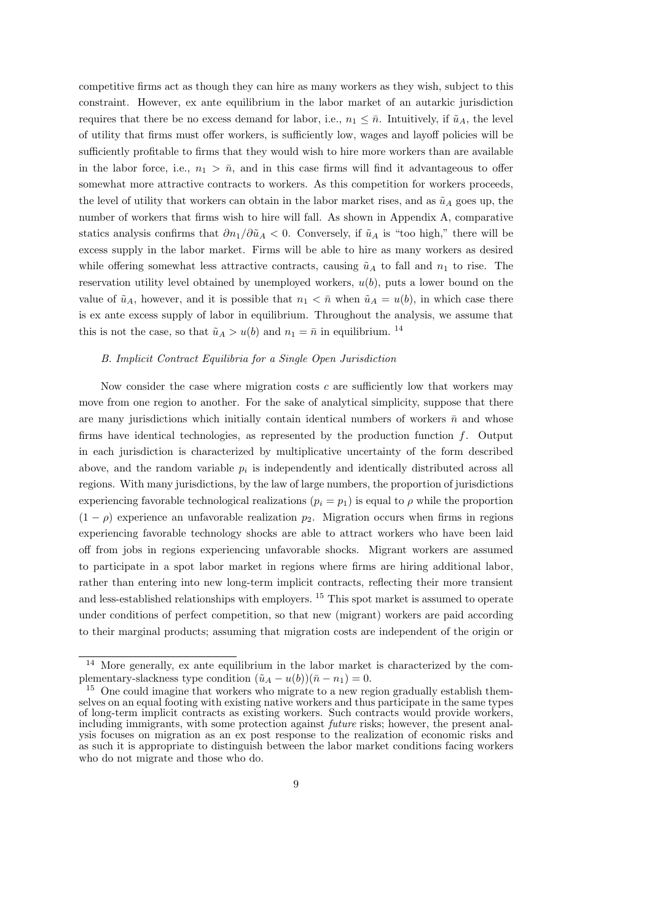competitive firms act as though they can hire as many workers as they wish, subject to this constraint. However, ex ante equilibrium in the labor market of an autarkic jurisdiction requires that there be no excess demand for labor, i.e.,  $n_1 \leq \bar{n}$ . Intuitively, if  $\tilde{u}_A$ , the level of utility that firms must offer workers, is sufficiently low, wages and layoff policies will be sufficiently profitable to firms that they would wish to hire more workers than are available in the labor force, i.e.,  $n_1 > \bar{n}$ , and in this case firms will find it advantageous to offer somewhat more attractive contracts to workers. As this competition for workers proceeds, the level of utility that workers can obtain in the labor market rises, and as  $\tilde{u}_A$  goes up, the number of workers that firms wish to hire will fall. As shown in Appendix A, comparative statics analysis confirms that  $\partial n_1/\partial \tilde{u}_A < 0$ . Conversely, if  $\tilde{u}_A$  is "too high," there will be excess supply in the labor market. Firms will be able to hire as many workers as desired while offering somewhat less attractive contracts, causing  $\tilde{u}_A$  to fall and  $n_1$  to rise. The reservation utility level obtained by unemployed workers,  $u(b)$ , puts a lower bound on the value of  $\tilde{u}_A$ , however, and it is possible that  $n_1 < \bar{n}$  when  $\tilde{u}_A = u(b)$ , in which case there is ex ante excess supply of labor in equilibrium. Throughout the analysis, we assume that this is not the case, so that  $\tilde{u}_A > u(b)$  and  $n_1 = \bar{n}$  in equilibrium. <sup>14</sup>

#### B. Implicit Contract Equilibria for a Single Open Jurisdiction

Now consider the case where migration costs  $c$  are sufficiently low that workers may move from one region to another. For the sake of analytical simplicity, suppose that there are many jurisdictions which initially contain identical numbers of workers  $\bar{n}$  and whose firms have identical technologies, as represented by the production function  $f$ . Output in each jurisdiction is characterized by multiplicative uncertainty of the form described above, and the random variable  $p_i$  is independently and identically distributed across all regions. With many jurisdictions, by the law of large numbers, the proportion of jurisdictions experiencing favorable technological realizations  $(p_i = p_1)$  is equal to  $\rho$  while the proportion  $(1 - \rho)$  experience an unfavorable realization  $p_2$ . Migration occurs when firms in regions experiencing favorable technology shocks are able to attract workers who have been laid off from jobs in regions experiencing unfavorable shocks. Migrant workers are assumed to participate in a spot labor market in regions where firms are hiring additional labor, rather than entering into new long-term implicit contracts, reflecting their more transient and less-established relationships with employers. <sup>15</sup> This spot market is assumed to operate under conditions of perfect competition, so that new (migrant) workers are paid according to their marginal products; assuming that migration costs are independent of the origin or

<sup>14</sup> More generally, ex ante equilibrium in the labor market is characterized by the complementary-slackness type condition  $(\tilde{u}_A - u(b))(\bar{n} - n_1) = 0$ .

 $15$  One could imagine that workers who migrate to a new region gradually establish themselves on an equal footing with existing native workers and thus participate in the same types of long-term implicit contracts as existing workers. Such contracts would provide workers, including immigrants, with some protection against *future* risks; however, the present analysis focuses on migration as an ex post response to the realization of economic risks and as such it is appropriate to distinguish between the labor market conditions facing workers who do not migrate and those who do.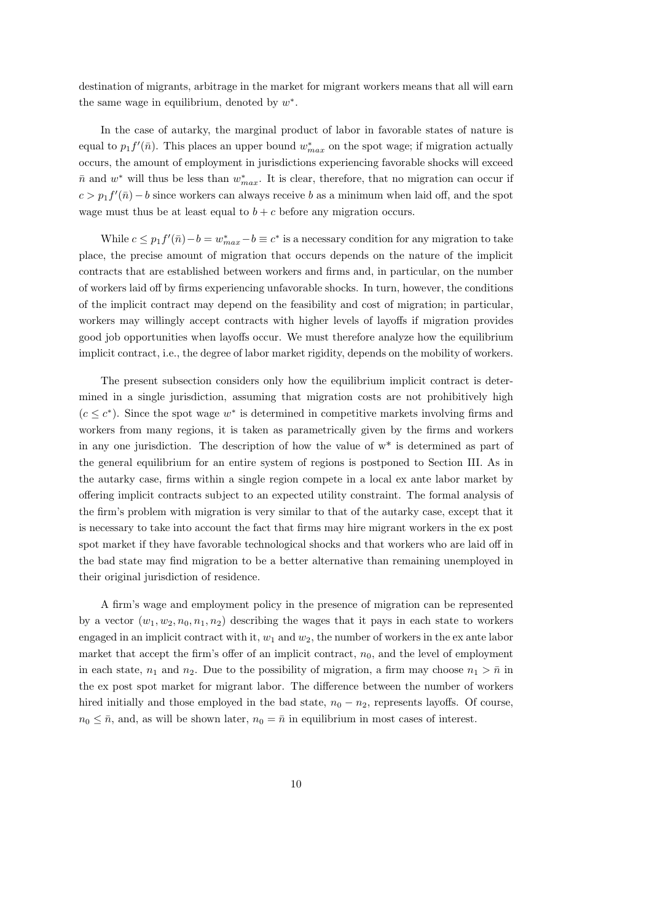destination of migrants, arbitrage in the market for migrant workers means that all will earn the same wage in equilibrium, denoted by  $w^*$ .

In the case of autarky, the marginal product of labor in favorable states of nature is equal to  $p_1 f'(\bar{n})$ . This places an upper bound  $w_{max}^*$  on the spot wage; if migration actually occurs, the amount of employment in jurisdictions experiencing favorable shocks will exceed  $\bar{n}$  and  $w^*$  will thus be less than  $w^*_{max}$ . It is clear, therefore, that no migration can occur if  $c > p_1 f'(\bar{n}) - b$  since workers can always receive b as a minimum when laid off, and the spot wage must thus be at least equal to  $b + c$  before any migration occurs.

While  $c \leq p_1 f'(\bar{n}) - b = w_{max}^* - b \equiv c^*$  is a necessary condition for any migration to take place, the precise amount of migration that occurs depends on the nature of the implicit contracts that are established between workers and firms and, in particular, on the number of workers laid off by firms experiencing unfavorable shocks. In turn, however, the conditions of the implicit contract may depend on the feasibility and cost of migration; in particular, workers may willingly accept contracts with higher levels of layoffs if migration provides good job opportunities when layoffs occur. We must therefore analyze how the equilibrium implicit contract, i.e., the degree of labor market rigidity, depends on the mobility of workers.

The present subsection considers only how the equilibrium implicit contract is determined in a single jurisdiction, assuming that migration costs are not prohibitively high  $(c \leq c^*)$ . Since the spot wage  $w^*$  is determined in competitive markets involving firms and workers from many regions, it is taken as parametrically given by the firms and workers in any one jurisdiction. The description of how the value of  $w^*$  is determined as part of the general equilibrium for an entire system of regions is postponed to Section III. As in the autarky case, firms within a single region compete in a local ex ante labor market by offering implicit contracts subject to an expected utility constraint. The formal analysis of the firm's problem with migration is very similar to that of the autarky case, except that it is necessary to take into account the fact that firms may hire migrant workers in the ex post spot market if they have favorable technological shocks and that workers who are laid off in the bad state may find migration to be a better alternative than remaining unemployed in their original jurisdiction of residence.

A firm's wage and employment policy in the presence of migration can be represented by a vector  $(w_1, w_2, n_0, n_1, n_2)$  describing the wages that it pays in each state to workers engaged in an implicit contract with it,  $w_1$  and  $w_2$ , the number of workers in the ex ante labor market that accept the firm's offer of an implicit contract,  $n_0$ , and the level of employment in each state,  $n_1$  and  $n_2$ . Due to the possibility of migration, a firm may choose  $n_1 > \bar{n}$  in the ex post spot market for migrant labor. The difference between the number of workers hired initially and those employed in the bad state,  $n_0 - n_2$ , represents layoffs. Of course,  $n_0 \leq \bar{n}$ , and, as will be shown later,  $n_0 = \bar{n}$  in equilibrium in most cases of interest.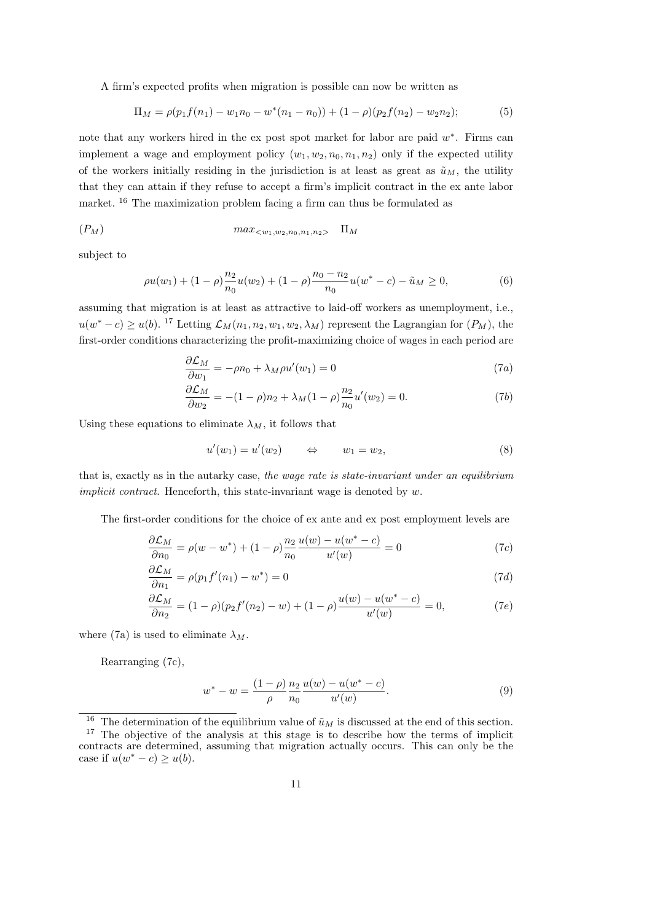A firm's expected profits when migration is possible can now be written as

$$
\Pi_M = \rho(p_1 f(n_1) - w_1 n_0 - w^*(n_1 - n_0)) + (1 - \rho)(p_2 f(n_2) - w_2 n_2); \tag{5}
$$

note that any workers hired in the ex post spot market for labor are paid  $w^*$ . Firms can implement a wage and employment policy  $(w_1, w_2, n_0, n_1, n_2)$  only if the expected utility of the workers initially residing in the jurisdiction is at least as great as  $\tilde{u}_M$ , the utility that they can attain if they refuse to accept a firm's implicit contract in the ex ante labor market. <sup>16</sup> The maximization problem facing a firm can thus be formulated as

$$
(P_M) \t max<_{w_1,w_2,n_0,n_1,n_2} \t \Pi_M
$$

subject to

$$
\rho u(w_1) + (1 - \rho) \frac{n_2}{n_0} u(w_2) + (1 - \rho) \frac{n_0 - n_2}{n_0} u(w^* - c) - \tilde{u}_M \ge 0,
$$
\n(6)

assuming that migration is at least as attractive to laid-off workers as unemployment, i.e.,  $u(w^* - c) \ge u(b)$ . <sup>17</sup> Letting  $\mathcal{L}_M(n_1, n_2, w_1, w_2, \lambda_M)$  represent the Lagrangian for  $(P_M)$ , the first-order conditions characterizing the profit-maximizing choice of wages in each period are

$$
\frac{\partial \mathcal{L}_M}{\partial w_1} = -\rho n_0 + \lambda_M \rho u'(w_1) = 0 \tag{7a}
$$

$$
\frac{\partial \mathcal{L}_M}{\partial w_2} = -(1 - \rho)n_2 + \lambda_M (1 - \rho) \frac{n_2}{n_0} u'(w_2) = 0.
$$
 (7b)

Using these equations to eliminate  $\lambda_M$ , it follows that

$$
u'(w_1) = u'(w_2) \qquad \Leftrightarrow \qquad w_1 = w_2,\tag{8}
$$

that is, exactly as in the autarky case, the wage rate is state-invariant under an equilibrium *implicit contract*. Henceforth, this state-invariant wage is denoted by  $w$ .

The first-order conditions for the choice of ex ante and ex post employment levels are

$$
\frac{\partial \mathcal{L}_M}{\partial n_0} = \rho(w - w^*) + (1 - \rho) \frac{n_2}{n_0} \frac{u(w) - u(w^* - c)}{u'(w)} = 0 \tag{7c}
$$

$$
\frac{\partial \mathcal{L}_M}{\partial n_1} = \rho(p_1 f'(n_1) - w^*) = 0 \tag{7d}
$$

$$
\frac{\partial \mathcal{L}_M}{\partial n_2} = (1 - \rho)(p_2 f'(n_2) - w) + (1 - \rho) \frac{u(w) - u(w^* - c)}{u'(w)} = 0, \tag{7e}
$$

where (7a) is used to eliminate  $\lambda_M$ .

Rearranging (7c),

$$
w^* - w = \frac{(1 - \rho)}{\rho} \frac{n_2}{n_0} \frac{u(w) - u(w^* - c)}{u'(w)}.
$$
\n(9)

<sup>&</sup>lt;sup>16</sup> The determination of the equilibrium value of  $\tilde{u}_M$  is discussed at the end of this section. <sup>17</sup> The objective of the analysis at this stage is to describe how the terms of implicit contracts are determined, assuming that migration actually occurs. This can only be the case if  $u(w^* - c) \ge u(b)$ .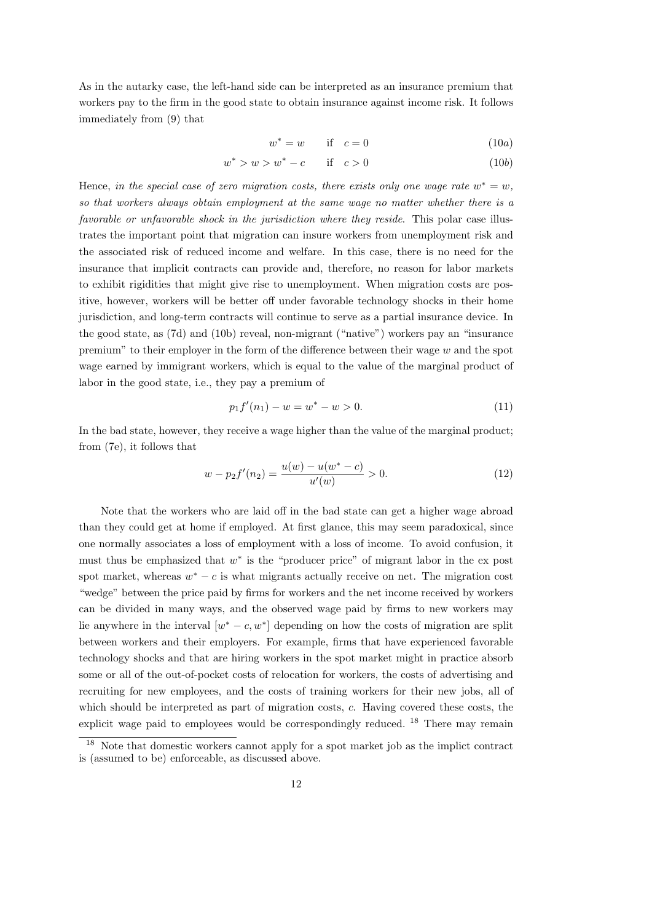As in the autarky case, the left-hand side can be interpreted as an insurance premium that workers pay to the firm in the good state to obtain insurance against income risk. It follows immediately from (9) that

$$
w^* = w \qquad \text{if} \quad c = 0 \tag{10a}
$$

$$
w^* > w > w^* - c \qquad \text{if} \quad c > 0 \tag{10b}
$$

Hence, in the special case of zero migration costs, there exists only one wage rate  $w^* = w$ , so that workers always obtain employment at the same wage no matter whether there is a favorable or unfavorable shock in the jurisdiction where they reside. This polar case illustrates the important point that migration can insure workers from unemployment risk and the associated risk of reduced income and welfare. In this case, there is no need for the insurance that implicit contracts can provide and, therefore, no reason for labor markets to exhibit rigidities that might give rise to unemployment. When migration costs are positive, however, workers will be better off under favorable technology shocks in their home jurisdiction, and long-term contracts will continue to serve as a partial insurance device. In the good state, as (7d) and (10b) reveal, non-migrant ("native") workers pay an "insurance premium" to their employer in the form of the difference between their wage w and the spot wage earned by immigrant workers, which is equal to the value of the marginal product of labor in the good state, i.e., they pay a premium of

$$
p_1 f'(n_1) - w = w^* - w > 0.
$$
\n(11)

In the bad state, however, they receive a wage higher than the value of the marginal product; from (7e), it follows that

$$
w - p_2 f'(n_2) = \frac{u(w) - u(w^* - c)}{u'(w)} > 0.
$$
\n(12)

Note that the workers who are laid off in the bad state can get a higher wage abroad than they could get at home if employed. At first glance, this may seem paradoxical, since one normally associates a loss of employment with a loss of income. To avoid confusion, it must thus be emphasized that  $w^*$  is the "producer price" of migrant labor in the ex post spot market, whereas  $w^* - c$  is what migrants actually receive on net. The migration cost "wedge" between the price paid by firms for workers and the net income received by workers can be divided in many ways, and the observed wage paid by firms to new workers may lie anywhere in the interval  $[w^* - c, w^*]$  depending on how the costs of migration are split between workers and their employers. For example, firms that have experienced favorable technology shocks and that are hiring workers in the spot market might in practice absorb some or all of the out-of-pocket costs of relocation for workers, the costs of advertising and recruiting for new employees, and the costs of training workers for their new jobs, all of which should be interpreted as part of migration costs, c. Having covered these costs, the explicit wage paid to employees would be correspondingly reduced. <sup>18</sup> There may remain

<sup>18</sup> Note that domestic workers cannot apply for a spot market job as the implict contract is (assumed to be) enforceable, as discussed above.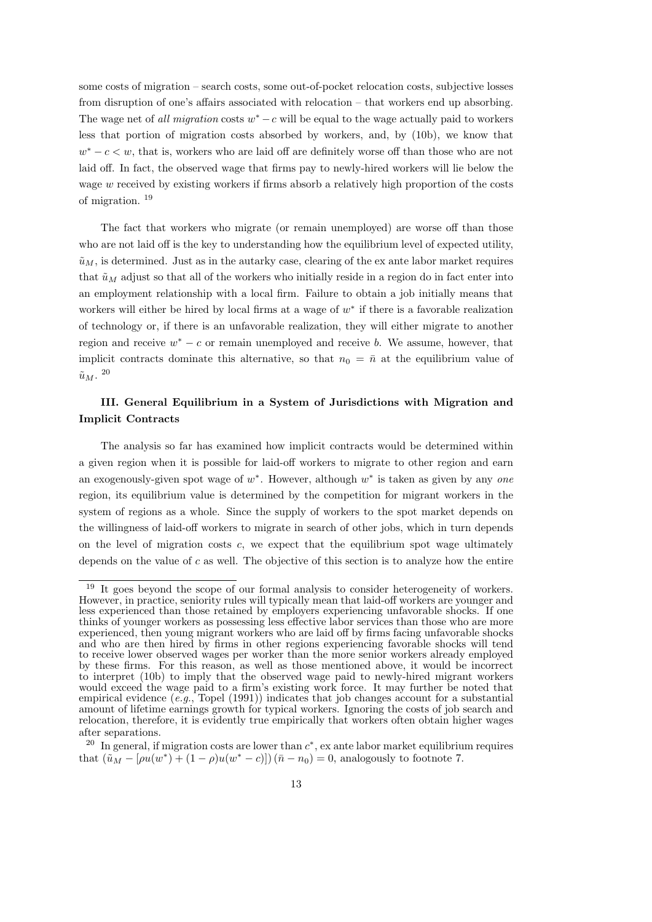some costs of migration – search costs, some out-of-pocket relocation costs, subjective losses from disruption of one's affairs associated with relocation – that workers end up absorbing. The wage net of all migration costs  $w^* - c$  will be equal to the wage actually paid to workers less that portion of migration costs absorbed by workers, and, by (10b), we know that  $w^* - c < w$ , that is, workers who are laid off are definitely worse off than those who are not laid off. In fact, the observed wage that firms pay to newly-hired workers will lie below the wage w received by existing workers if firms absorb a relatively high proportion of the costs of migration. <sup>19</sup>

The fact that workers who migrate (or remain unemployed) are worse off than those who are not laid off is the key to understanding how the equilibrium level of expected utility,  $\tilde{u}_M$ , is determined. Just as in the autarky case, clearing of the ex ante labor market requires that  $\tilde{u}_M$  adjust so that all of the workers who initially reside in a region do in fact enter into an employment relationship with a local firm. Failure to obtain a job initially means that workers will either be hired by local firms at a wage of  $w^*$  if there is a favorable realization of technology or, if there is an unfavorable realization, they will either migrate to another region and receive  $w^* - c$  or remain unemployed and receive b. We assume, however, that implicit contracts dominate this alternative, so that  $n_0 = \bar{n}$  at the equilibrium value of  $\tilde{u}_M$ .<sup>20</sup>

### III. General Equilibrium in a System of Jurisdictions with Migration and Implicit Contracts

The analysis so far has examined how implicit contracts would be determined within a given region when it is possible for laid-off workers to migrate to other region and earn an exogenously-given spot wage of  $w^*$ . However, although  $w^*$  is taken as given by any one region, its equilibrium value is determined by the competition for migrant workers in the system of regions as a whole. Since the supply of workers to the spot market depends on the willingness of laid-off workers to migrate in search of other jobs, which in turn depends on the level of migration costs  $c$ , we expect that the equilibrium spot wage ultimately depends on the value of  $c$  as well. The objective of this section is to analyze how the entire

<sup>19</sup> It goes beyond the scope of our formal analysis to consider heterogeneity of workers. However, in practice, seniority rules will typically mean that laid-off workers are younger and less experienced than those retained by employers experiencing unfavorable shocks. If one thinks of younger workers as possessing less effective labor services than those who are more experienced, then young migrant workers who are laid off by firms facing unfavorable shocks and who are then hired by firms in other regions experiencing favorable shocks will tend to receive lower observed wages per worker than the more senior workers already employed by these firms. For this reason, as well as those mentioned above, it would be incorrect to interpret (10b) to imply that the observed wage paid to newly-hired migrant workers would exceed the wage paid to a firm's existing work force. It may further be noted that empirical evidence (e.g., Topel (1991)) indicates that job changes account for a substantial amount of lifetime earnings growth for typical workers. Ignoring the costs of job search and relocation, therefore, it is evidently true empirically that workers often obtain higher wages after separations.

<sup>&</sup>lt;sup>20</sup> In general, if migration costs are lower than  $c^*$ , ex ante labor market equilibrium requires that  $(\tilde{u}_M - \left[\rho u(w^*) + (1 - \rho)u(w^* - c)\right])(\bar{n} - n_0) = 0$ , analogously to footnote 7.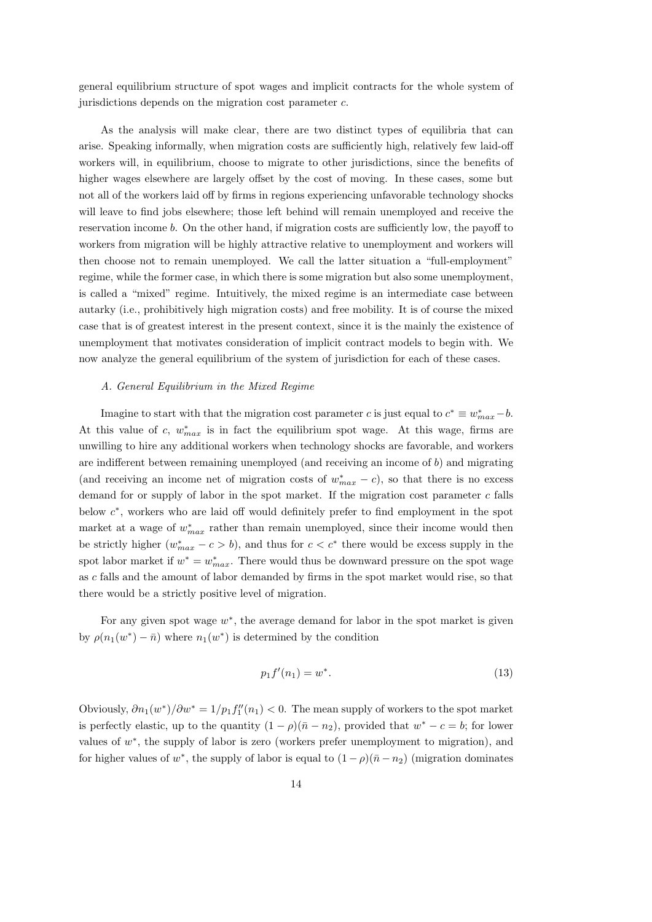general equilibrium structure of spot wages and implicit contracts for the whole system of jurisdictions depends on the migration cost parameter  $c$ .

As the analysis will make clear, there are two distinct types of equilibria that can arise. Speaking informally, when migration costs are sufficiently high, relatively few laid-off workers will, in equilibrium, choose to migrate to other jurisdictions, since the benefits of higher wages elsewhere are largely offset by the cost of moving. In these cases, some but not all of the workers laid off by firms in regions experiencing unfavorable technology shocks will leave to find jobs elsewhere; those left behind will remain unemployed and receive the reservation income b. On the other hand, if migration costs are sufficiently low, the payoff to workers from migration will be highly attractive relative to unemployment and workers will then choose not to remain unemployed. We call the latter situation a "full-employment" regime, while the former case, in which there is some migration but also some unemployment, is called a "mixed" regime. Intuitively, the mixed regime is an intermediate case between autarky (i.e., prohibitively high migration costs) and free mobility. It is of course the mixed case that is of greatest interest in the present context, since it is the mainly the existence of unemployment that motivates consideration of implicit contract models to begin with. We now analyze the general equilibrium of the system of jurisdiction for each of these cases.

#### A. General Equilibrium in the Mixed Regime

Imagine to start with that the migration cost parameter c is just equal to  $c^* \equiv w_{max}^* - b$ . At this value of  $c, w^*_{max}$  is in fact the equilibrium spot wage. At this wage, firms are unwilling to hire any additional workers when technology shocks are favorable, and workers are indifferent between remaining unemployed (and receiving an income of  $b$ ) and migrating (and receiving an income net of migration costs of  $w_{max}^* - c$ ), so that there is no excess demand for or supply of labor in the spot market. If the migration cost parameter  $c$  falls below c ∗ , workers who are laid off would definitely prefer to find employment in the spot market at a wage of  $w_{max}^*$  rather than remain unemployed, since their income would then be strictly higher  $(w_{max}^* - c > b)$ , and thus for  $c < c^*$  there would be excess supply in the spot labor market if  $w^* = w^*_{max}$ . There would thus be downward pressure on the spot wage as c falls and the amount of labor demanded by firms in the spot market would rise, so that there would be a strictly positive level of migration.

For any given spot wage  $w^*$ , the average demand for labor in the spot market is given by  $\rho(n_1(w^*) - \bar{n})$  where  $n_1(w^*)$  is determined by the condition

$$
p_1 f'(n_1) = w^*.
$$
\n(13)

Obviously,  $\partial n_1(w^*)/\partial w^* = 1/p_1 f''_1(n_1) < 0$ . The mean supply of workers to the spot market is perfectly elastic, up to the quantity  $(1 - \rho)(\bar{n} - n_2)$ , provided that  $w^* - c = b$ ; for lower values of  $w^*$ , the supply of labor is zero (workers prefer unemployment to migration), and for higher values of w<sup>\*</sup>, the supply of labor is equal to  $(1 - \rho)(\bar{n} - n_2)$  (migration dominates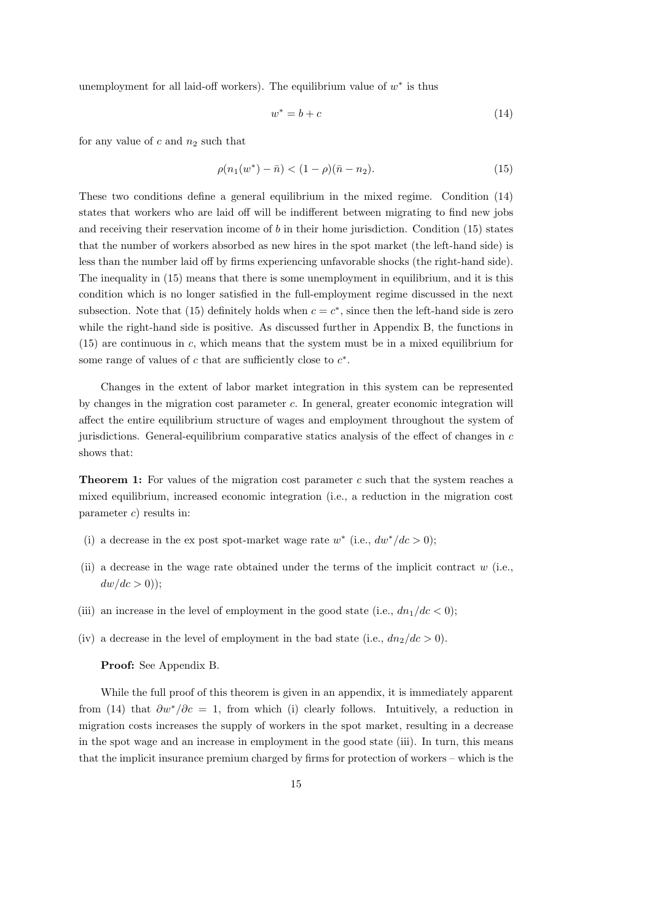unemployment for all laid-off workers). The equilibrium value of  $w^*$  is thus

$$
w^* = b + c \tag{14}
$$

for any value of c and  $n_2$  such that

$$
\rho(n_1(w^*) - \bar{n}) < (1 - \rho)(\bar{n} - n_2). \tag{15}
$$

These two conditions define a general equilibrium in the mixed regime. Condition (14) states that workers who are laid off will be indifferent between migrating to find new jobs and receiving their reservation income of  $b$  in their home jurisdiction. Condition (15) states that the number of workers absorbed as new hires in the spot market (the left-hand side) is less than the number laid off by firms experiencing unfavorable shocks (the right-hand side). The inequality in (15) means that there is some unemployment in equilibrium, and it is this condition which is no longer satisfied in the full-employment regime discussed in the next subsection. Note that (15) definitely holds when  $c = c^*$ , since then the left-hand side is zero while the right-hand side is positive. As discussed further in Appendix B, the functions in  $(15)$  are continuous in c, which means that the system must be in a mixed equilibrium for some range of values of  $c$  that are sufficiently close to  $c^*$ .

Changes in the extent of labor market integration in this system can be represented by changes in the migration cost parameter c. In general, greater economic integration will affect the entire equilibrium structure of wages and employment throughout the system of jurisdictions. General-equilibrium comparative statics analysis of the effect of changes in  $c$ shows that:

**Theorem 1:** For values of the migration cost parameter  $c$  such that the system reaches a mixed equilibrium, increased economic integration (i.e., a reduction in the migration cost parameter  $c$ ) results in:

- (i) a decrease in the ex post spot-market wage rate  $w^*$  (i.e.,  $dw^*/dc > 0$ );
- (ii) a decrease in the wage rate obtained under the terms of the implicit contract  $w$  (i.e.,  $dw/dc > 0$ ):
- (iii) an increase in the level of employment in the good state (i.e.,  $dn_1/dc < 0$ );
- (iv) a decrease in the level of employment in the bad state (i.e.,  $dn_2/dc > 0$ ).

Proof: See Appendix B.

While the full proof of this theorem is given in an appendix, it is immediately apparent from (14) that  $\frac{\partial w^*}{\partial c} = 1$ , from which (i) clearly follows. Intuitively, a reduction in migration costs increases the supply of workers in the spot market, resulting in a decrease in the spot wage and an increase in employment in the good state (iii). In turn, this means that the implicit insurance premium charged by firms for protection of workers – which is the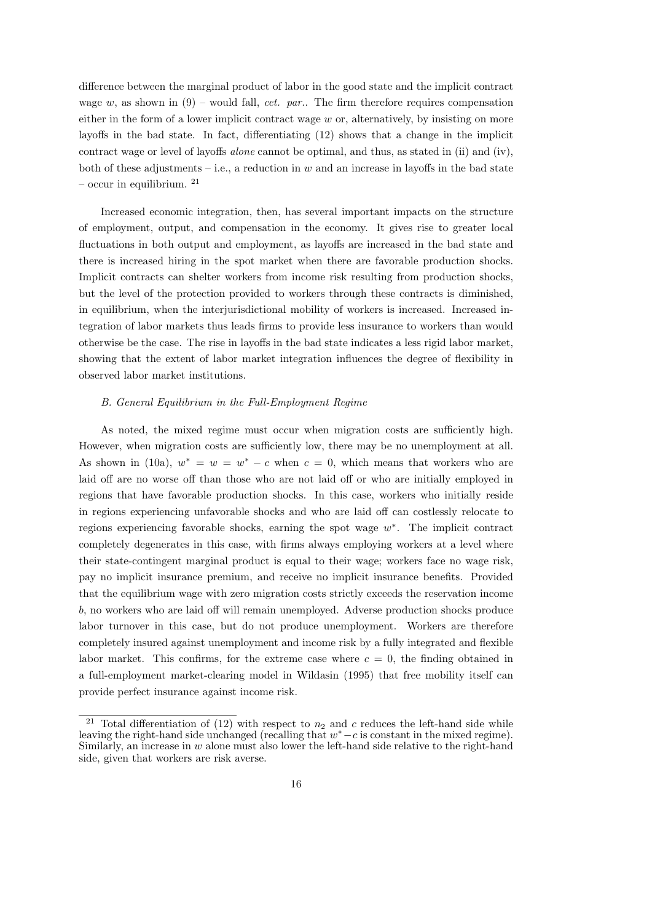difference between the marginal product of labor in the good state and the implicit contract wage w, as shown in  $(9)$  – would fall, *cet. par.*. The firm therefore requires compensation either in the form of a lower implicit contract wage  $w$  or, alternatively, by insisting on more layoffs in the bad state. In fact, differentiating (12) shows that a change in the implicit contract wage or level of layoffs alone cannot be optimal, and thus, as stated in (ii) and (iv), both of these adjustments – i.e., a reduction in  $w$  and an increase in layoffs in the bad state – occur in equilibrium.  $^{\rm 21}$ 

Increased economic integration, then, has several important impacts on the structure of employment, output, and compensation in the economy. It gives rise to greater local fluctuations in both output and employment, as layoffs are increased in the bad state and there is increased hiring in the spot market when there are favorable production shocks. Implicit contracts can shelter workers from income risk resulting from production shocks, but the level of the protection provided to workers through these contracts is diminished, in equilibrium, when the interjurisdictional mobility of workers is increased. Increased integration of labor markets thus leads firms to provide less insurance to workers than would otherwise be the case. The rise in layoffs in the bad state indicates a less rigid labor market, showing that the extent of labor market integration influences the degree of flexibility in observed labor market institutions.

#### B. General Equilibrium in the Full-Employment Regime

As noted, the mixed regime must occur when migration costs are sufficiently high. However, when migration costs are sufficiently low, there may be no unemployment at all. As shown in (10a),  $w^* = w = w^* - c$  when  $c = 0$ , which means that workers who are laid off are no worse off than those who are not laid off or who are initially employed in regions that have favorable production shocks. In this case, workers who initially reside in regions experiencing unfavorable shocks and who are laid off can costlessly relocate to regions experiencing favorable shocks, earning the spot wage  $w^*$ . The implicit contract completely degenerates in this case, with firms always employing workers at a level where their state-contingent marginal product is equal to their wage; workers face no wage risk, pay no implicit insurance premium, and receive no implicit insurance benefits. Provided that the equilibrium wage with zero migration costs strictly exceeds the reservation income b, no workers who are laid off will remain unemployed. Adverse production shocks produce labor turnover in this case, but do not produce unemployment. Workers are therefore completely insured against unemployment and income risk by a fully integrated and flexible labor market. This confirms, for the extreme case where  $c = 0$ , the finding obtained in a full-employment market-clearing model in Wildasin (1995) that free mobility itself can provide perfect insurance against income risk.

<sup>&</sup>lt;sup>21</sup> Total differentiation of (12) with respect to  $n_2$  and c reduces the left-hand side while leaving the right-hand side unchanged (recalling that  $w^*$  – c is constant in the mixed regime). Similarly, an increase in w alone must also lower the left-hand side relative to the right-hand side, given that workers are risk averse.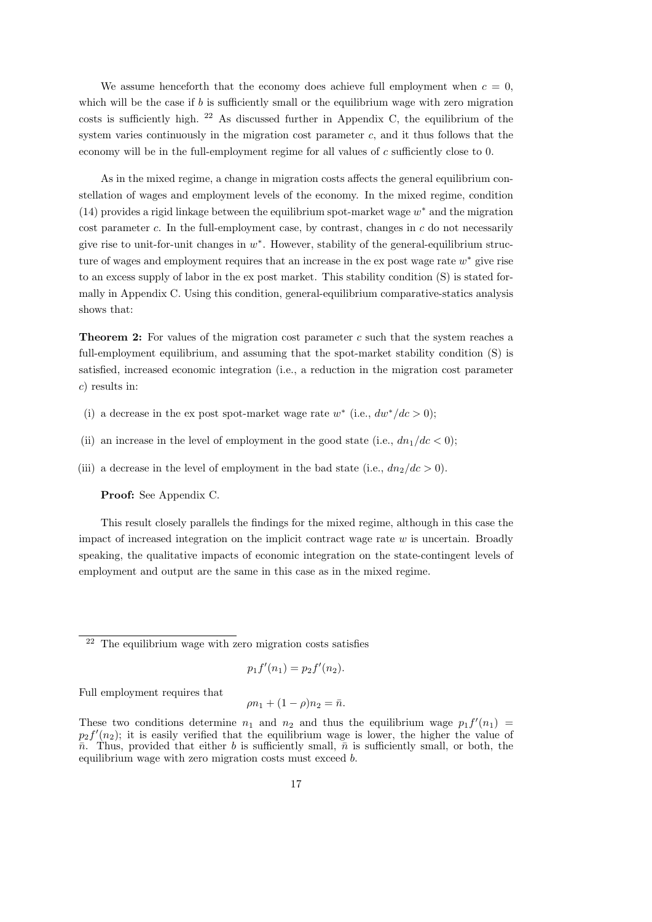We assume henceforth that the economy does achieve full employment when  $c = 0$ , which will be the case if  $b$  is sufficiently small or the equilibrium wage with zero migration costs is sufficiently high.  $2^2$  As discussed further in Appendix C, the equilibrium of the system varies continuously in the migration cost parameter  $c$ , and it thus follows that the economy will be in the full-employment regime for all values of  $c$  sufficiently close to 0.

As in the mixed regime, a change in migration costs affects the general equilibrium constellation of wages and employment levels of the economy. In the mixed regime, condition (14) provides a rigid linkage between the equilibrium spot-market wage  $w^*$  and the migration cost parameter  $c$ . In the full-employment case, by contrast, changes in  $c$  do not necessarily give rise to unit-for-unit changes in  $w^*$ . However, stability of the general-equilibrium structure of wages and employment requires that an increase in the ex post wage rate  $w^*$  give rise to an excess supply of labor in the ex post market. This stability condition (S) is stated formally in Appendix C. Using this condition, general-equilibrium comparative-statics analysis shows that:

**Theorem 2:** For values of the migration cost parameter  $c$  such that the system reaches a full-employment equilibrium, and assuming that the spot-market stability condition (S) is satisfied, increased economic integration (i.e., a reduction in the migration cost parameter c) results in:

- (i) a decrease in the ex post spot-market wage rate  $w^*$  (i.e.,  $dw^*/dc > 0$ );
- (ii) an increase in the level of employment in the good state (i.e.,  $dn_1/dc < 0$ );
- (iii) a decrease in the level of employment in the bad state (i.e.,  $dn_2/dc > 0$ ).

Proof: See Appendix C.

This result closely parallels the findings for the mixed regime, although in this case the impact of increased integration on the implicit contract wage rate  $w$  is uncertain. Broadly speaking, the qualitative impacts of economic integration on the state-contingent levels of employment and output are the same in this case as in the mixed regime.

$$
p_1 f'(n_1) = p_2 f'(n_2).
$$

Full employment requires that

$$
\rho n_1 + (1 - \rho)n_2 = \bar{n}.
$$

<sup>22</sup> The equilibrium wage with zero migration costs satisfies

These two conditions determine  $n_1$  and  $n_2$  and thus the equilibrium wage  $p_1 f'(n_1)$  $p_2f'(n_2)$ ; it is easily verified that the equilibrium wage is lower, the higher the value of  $\bar{n}$ . Thus, provided that either b is sufficiently small,  $\bar{n}$  is sufficiently small, or both, the equilibrium wage with zero migration costs must exceed b.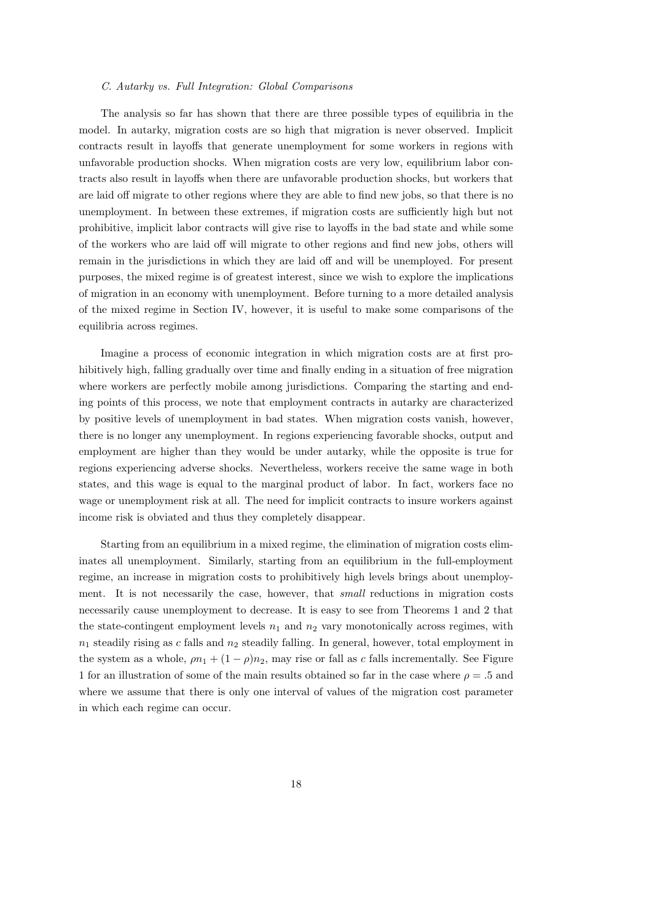#### C. Autarky vs. Full Integration: Global Comparisons

The analysis so far has shown that there are three possible types of equilibria in the model. In autarky, migration costs are so high that migration is never observed. Implicit contracts result in layoffs that generate unemployment for some workers in regions with unfavorable production shocks. When migration costs are very low, equilibrium labor contracts also result in layoffs when there are unfavorable production shocks, but workers that are laid off migrate to other regions where they are able to find new jobs, so that there is no unemployment. In between these extremes, if migration costs are sufficiently high but not prohibitive, implicit labor contracts will give rise to layoffs in the bad state and while some of the workers who are laid off will migrate to other regions and find new jobs, others will remain in the jurisdictions in which they are laid off and will be unemployed. For present purposes, the mixed regime is of greatest interest, since we wish to explore the implications of migration in an economy with unemployment. Before turning to a more detailed analysis of the mixed regime in Section IV, however, it is useful to make some comparisons of the equilibria across regimes.

Imagine a process of economic integration in which migration costs are at first prohibitively high, falling gradually over time and finally ending in a situation of free migration where workers are perfectly mobile among jurisdictions. Comparing the starting and ending points of this process, we note that employment contracts in autarky are characterized by positive levels of unemployment in bad states. When migration costs vanish, however, there is no longer any unemployment. In regions experiencing favorable shocks, output and employment are higher than they would be under autarky, while the opposite is true for regions experiencing adverse shocks. Nevertheless, workers receive the same wage in both states, and this wage is equal to the marginal product of labor. In fact, workers face no wage or unemployment risk at all. The need for implicit contracts to insure workers against income risk is obviated and thus they completely disappear.

Starting from an equilibrium in a mixed regime, the elimination of migration costs eliminates all unemployment. Similarly, starting from an equilibrium in the full-employment regime, an increase in migration costs to prohibitively high levels brings about unemployment. It is not necessarily the case, however, that small reductions in migration costs necessarily cause unemployment to decrease. It is easy to see from Theorems 1 and 2 that the state-contingent employment levels  $n_1$  and  $n_2$  vary monotonically across regimes, with  $n_1$  steadily rising as c falls and  $n_2$  steadily falling. In general, however, total employment in the system as a whole,  $\rho n_1 + (1 - \rho)n_2$ , may rise or fall as c falls incrementally. See Figure 1 for an illustration of some of the main results obtained so far in the case where  $\rho = 0.5$  and where we assume that there is only one interval of values of the migration cost parameter in which each regime can occur.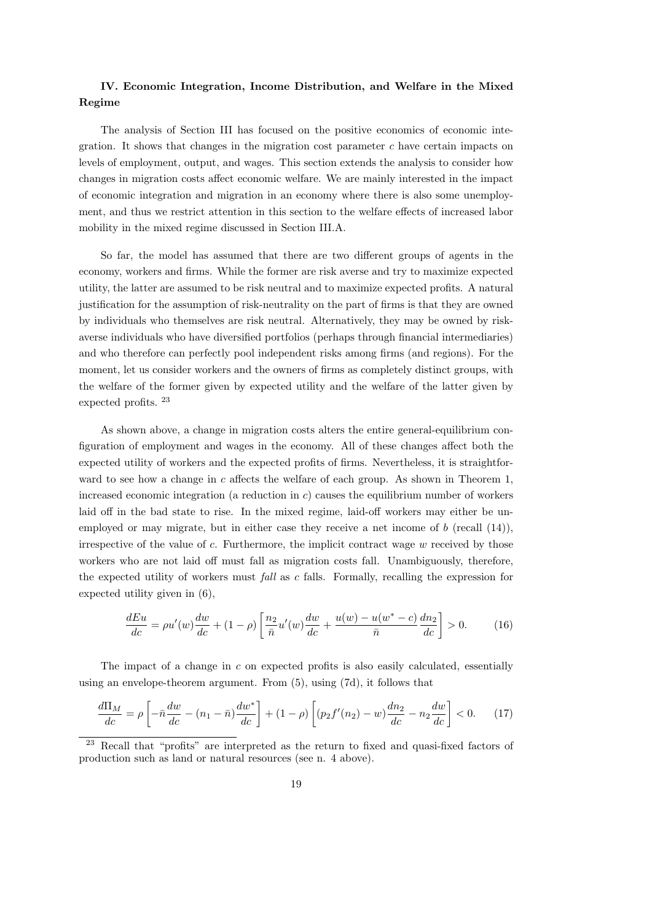### IV. Economic Integration, Income Distribution, and Welfare in the Mixed Regime

The analysis of Section III has focused on the positive economics of economic integration. It shows that changes in the migration cost parameter  $c$  have certain impacts on levels of employment, output, and wages. This section extends the analysis to consider how changes in migration costs affect economic welfare. We are mainly interested in the impact of economic integration and migration in an economy where there is also some unemployment, and thus we restrict attention in this section to the welfare effects of increased labor mobility in the mixed regime discussed in Section III.A.

So far, the model has assumed that there are two different groups of agents in the economy, workers and firms. While the former are risk averse and try to maximize expected utility, the latter are assumed to be risk neutral and to maximize expected profits. A natural justification for the assumption of risk-neutrality on the part of firms is that they are owned by individuals who themselves are risk neutral. Alternatively, they may be owned by riskaverse individuals who have diversified portfolios (perhaps through financial intermediaries) and who therefore can perfectly pool independent risks among firms (and regions). For the moment, let us consider workers and the owners of firms as completely distinct groups, with the welfare of the former given by expected utility and the welfare of the latter given by expected profits. <sup>23</sup>

As shown above, a change in migration costs alters the entire general-equilibrium configuration of employment and wages in the economy. All of these changes affect both the expected utility of workers and the expected profits of firms. Nevertheless, it is straightforward to see how a change in  $c$  affects the welfare of each group. As shown in Theorem 1, increased economic integration (a reduction in  $c$ ) causes the equilibrium number of workers laid off in the bad state to rise. In the mixed regime, laid-off workers may either be unemployed or may migrate, but in either case they receive a net income of b (recall (14)), irrespective of the value of  $c$ . Furthermore, the implicit contract wage  $w$  received by those workers who are not laid off must fall as migration costs fall. Unambiguously, therefore, the expected utility of workers must fall as c falls. Formally, recalling the expression for expected utility given in (6),

$$
\frac{dE u}{dc} = \rho u'(w)\frac{dw}{dc} + (1 - \rho) \left[ \frac{n_2}{\bar{n}} u'(w)\frac{dw}{dc} + \frac{u(w) - u(w^* - c)}{\bar{n}} \frac{dn_2}{dc} \right] > 0. \tag{16}
$$

The impact of a change in c on expected profits is also easily calculated, essentially using an envelope-theorem argument. From (5), using (7d), it follows that

$$
\frac{d\Pi_M}{dc} = \rho \left[ -\bar{n}\frac{dw}{dc} - (n_1 - \bar{n})\frac{dw^*}{dc} \right] + (1 - \rho) \left[ (p_2 f'(n_2) - w) \frac{dn_2}{dc} - n_2 \frac{dw}{dc} \right] < 0. \tag{17}
$$

<sup>23</sup> Recall that "profits" are interpreted as the return to fixed and quasi-fixed factors of production such as land or natural resources (see n. 4 above).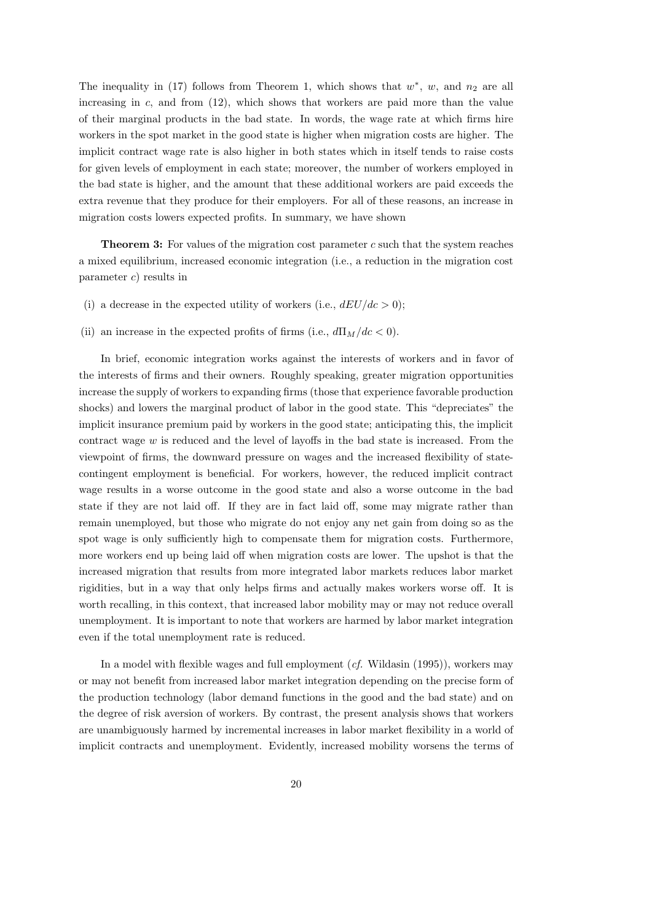The inequality in (17) follows from Theorem 1, which shows that  $w^*$ ,  $w$ , and  $n_2$  are all increasing in  $c$ , and from  $(12)$ , which shows that workers are paid more than the value of their marginal products in the bad state. In words, the wage rate at which firms hire workers in the spot market in the good state is higher when migration costs are higher. The implicit contract wage rate is also higher in both states which in itself tends to raise costs for given levels of employment in each state; moreover, the number of workers employed in the bad state is higher, and the amount that these additional workers are paid exceeds the extra revenue that they produce for their employers. For all of these reasons, an increase in migration costs lowers expected profits. In summary, we have shown

**Theorem 3:** For values of the migration cost parameter  $c$  such that the system reaches a mixed equilibrium, increased economic integration (i.e., a reduction in the migration cost parameter c) results in

- (i) a decrease in the expected utility of workers (i.e.,  $dEU/dc > 0$ );
- (ii) an increase in the expected profits of firms (i.e.,  $d\Pi_M/dc < 0$ ).

In brief, economic integration works against the interests of workers and in favor of the interests of firms and their owners. Roughly speaking, greater migration opportunities increase the supply of workers to expanding firms (those that experience favorable production shocks) and lowers the marginal product of labor in the good state. This "depreciates" the implicit insurance premium paid by workers in the good state; anticipating this, the implicit contract wage w is reduced and the level of layoffs in the bad state is increased. From the viewpoint of firms, the downward pressure on wages and the increased flexibility of statecontingent employment is beneficial. For workers, however, the reduced implicit contract wage results in a worse outcome in the good state and also a worse outcome in the bad state if they are not laid off. If they are in fact laid off, some may migrate rather than remain unemployed, but those who migrate do not enjoy any net gain from doing so as the spot wage is only sufficiently high to compensate them for migration costs. Furthermore, more workers end up being laid off when migration costs are lower. The upshot is that the increased migration that results from more integrated labor markets reduces labor market rigidities, but in a way that only helps firms and actually makes workers worse off. It is worth recalling, in this context, that increased labor mobility may or may not reduce overall unemployment. It is important to note that workers are harmed by labor market integration even if the total unemployment rate is reduced.

In a model with flexible wages and full employment (cf. Wildasin (1995)), workers may or may not benefit from increased labor market integration depending on the precise form of the production technology (labor demand functions in the good and the bad state) and on the degree of risk aversion of workers. By contrast, the present analysis shows that workers are unambiguously harmed by incremental increases in labor market flexibility in a world of implicit contracts and unemployment. Evidently, increased mobility worsens the terms of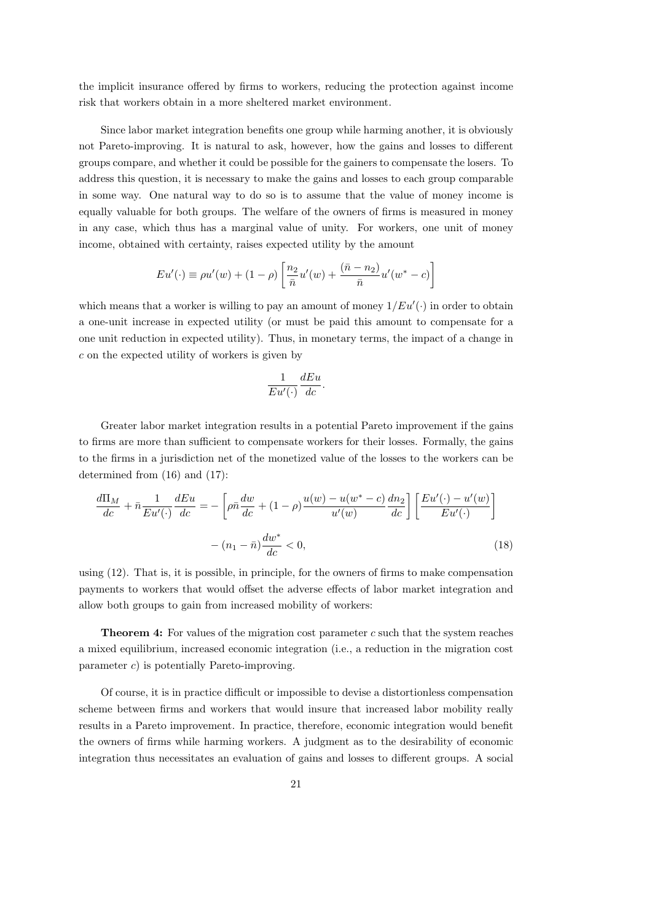the implicit insurance offered by firms to workers, reducing the protection against income risk that workers obtain in a more sheltered market environment.

Since labor market integration benefits one group while harming another, it is obviously not Pareto-improving. It is natural to ask, however, how the gains and losses to different groups compare, and whether it could be possible for the gainers to compensate the losers. To address this question, it is necessary to make the gains and losses to each group comparable in some way. One natural way to do so is to assume that the value of money income is equally valuable for both groups. The welfare of the owners of firms is measured in money in any case, which thus has a marginal value of unity. For workers, one unit of money income, obtained with certainty, raises expected utility by the amount

$$
Eu'(\cdot) \equiv \rho u'(w) + (1 - \rho) \left[ \frac{n_2}{\bar{n}} u'(w) + \frac{(\bar{n} - n_2)}{\bar{n}} u'(w^* - c) \right]
$$

which means that a worker is willing to pay an amount of money  $1/Eu'(\cdot)$  in order to obtain a one-unit increase in expected utility (or must be paid this amount to compensate for a one unit reduction in expected utility). Thus, in monetary terms, the impact of a change in c on the expected utility of workers is given by

$$
\frac{1}{Eu'(\cdot)}\frac{dEu}{dc}.
$$

Greater labor market integration results in a potential Pareto improvement if the gains to firms are more than sufficient to compensate workers for their losses. Formally, the gains to the firms in a jurisdiction net of the monetized value of the losses to the workers can be determined from (16) and (17):

$$
\frac{d\Pi_M}{dc} + \bar{n}\frac{1}{Eu'(\cdot)}\frac{dEu}{dc} = -\left[\rho\bar{n}\frac{dw}{dc} + (1-\rho)\frac{u(w) - u(w^* - c)}{u'(w)}\frac{dn_2}{dc}\right] \left[\frac{Eu'(\cdot) - u'(w)}{Eu'(\cdot)}\right] - (n_1 - \bar{n})\frac{dw^*}{dc} < 0,
$$
\n(18)

using (12). That is, it is possible, in principle, for the owners of firms to make compensation payments to workers that would offset the adverse effects of labor market integration and allow both groups to gain from increased mobility of workers:

**Theorem 4:** For values of the migration cost parameter  $c$  such that the system reaches a mixed equilibrium, increased economic integration (i.e., a reduction in the migration cost parameter  $c$ ) is potentially Pareto-improving.

Of course, it is in practice difficult or impossible to devise a distortionless compensation scheme between firms and workers that would insure that increased labor mobility really results in a Pareto improvement. In practice, therefore, economic integration would benefit the owners of firms while harming workers. A judgment as to the desirability of economic integration thus necessitates an evaluation of gains and losses to different groups. A social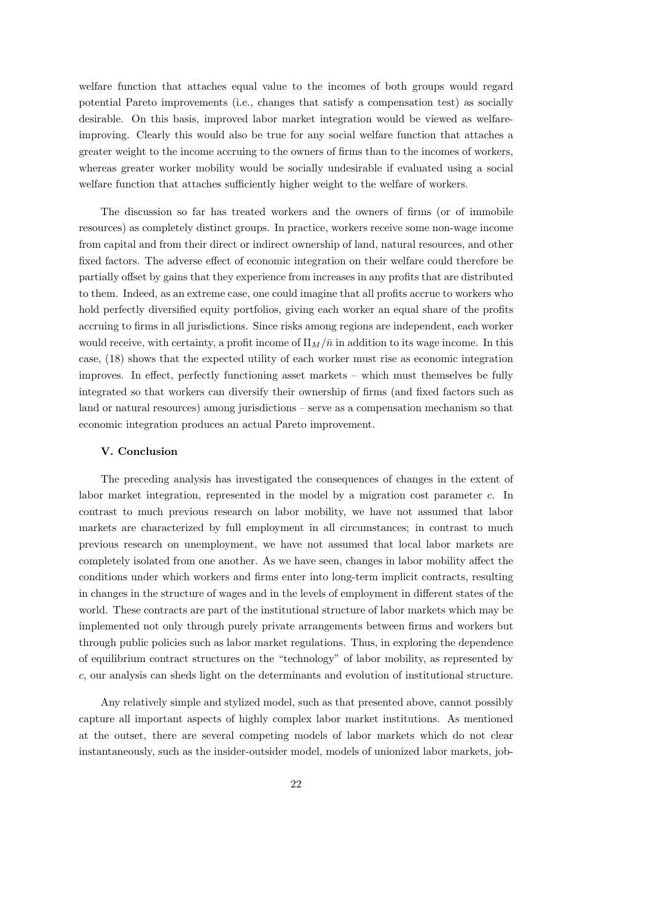welfare function that attaches equal value to the incomes of both groups would regard potential Pareto improvements (i.e., changes that satisfy a compensation test) as socially desirable. On this basis, improved labor market integration would be viewed as welfareimproving. Clearly this would also be true for any social welfare function that attaches a greater weight to the income accruing to the owners of firms than to the incomes of workers, whereas greater worker mobility would be socially undesirable if evaluated using a social welfare function that attaches sufficiently higher weight to the welfare of workers.

The discussion so far has treated workers and the owners of firms (or of immobile resources) as completely distinct groups. In practice, workers receive some non-wage income from capital and from their direct or indirect ownership of land, natural resources, and other fixed factors. The adverse effect of economic integration on their welfare could therefore be partially offset by gains that they experience from increases in any profits that are distributed to them. Indeed, as an extreme case, one could imagine that all profits accrue to workers who hold perfectly diversified equity portfolios, giving each worker an equal share of the profits accruing to firms in all jurisdictions. Since risks among regions are independent, each worker would receive, with certainty, a profit income of  $\Pi_M/\bar{n}$  in addition to its wage income. In this case, (18) shows that the expected utility of each worker must rise as economic integration improves. In effect, perfectly functioning asset markets – which must themselves be fully integrated so that workers can diversify their ownership of firms (and fixed factors such as land or natural resources) among jurisdictions – serve as a compensation mechanism so that economic integration produces an actual Pareto improvement.

#### V. Conclusion

The preceding analysis has investigated the consequences of changes in the extent of labor market integration, represented in the model by a migration cost parameter c. In contrast to much previous research on labor mobility, we have not assumed that labor markets are characterized by full employment in all circumstances; in contrast to much previous research on unemployment, we have not assumed that local labor markets are completely isolated from one another. As we have seen, changes in labor mobility affect the conditions under which workers and firms enter into long-term implicit contracts, resulting in changes in the structure of wages and in the levels of employment in different states of the world. These contracts are part of the institutional structure of labor markets which may be implemented not only through purely private arrangements between firms and workers but through public policies such as labor market regulations. Thus, in exploring the dependence of equilibrium contract structures on the "technology" of labor mobility, as represented by c, our analysis can sheds light on the determinants and evolution of institutional structure.

Any relatively simple and stylized model, such as that presented above, cannot possibly capture all important aspects of highly complex labor market institutions. As mentioned at the outset, there are several competing models of labor markets which do not clear instantaneously, such as the insider-outsider model, models of unionized labor markets, job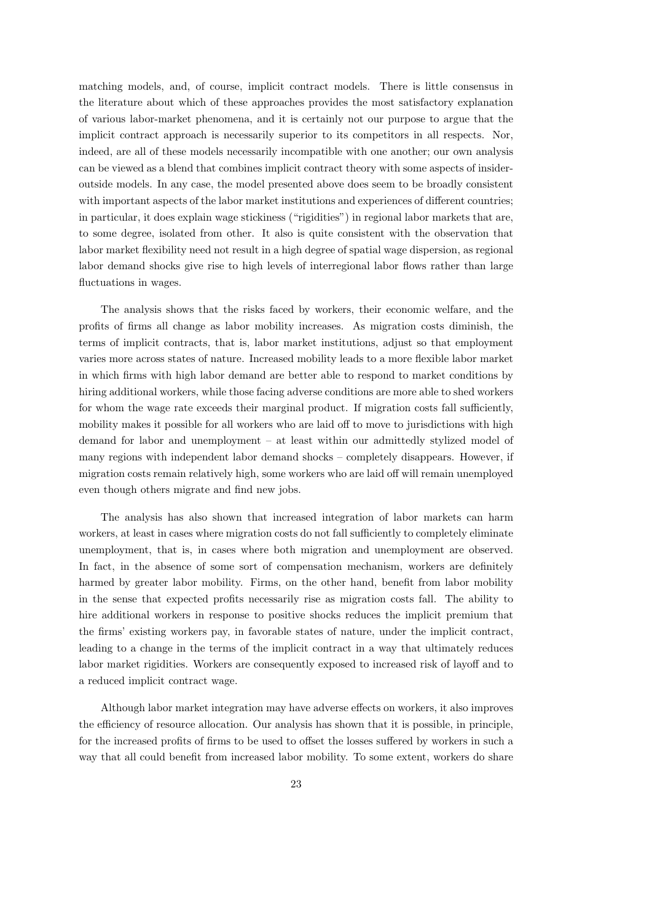matching models, and, of course, implicit contract models. There is little consensus in the literature about which of these approaches provides the most satisfactory explanation of various labor-market phenomena, and it is certainly not our purpose to argue that the implicit contract approach is necessarily superior to its competitors in all respects. Nor, indeed, are all of these models necessarily incompatible with one another; our own analysis can be viewed as a blend that combines implicit contract theory with some aspects of insideroutside models. In any case, the model presented above does seem to be broadly consistent with important aspects of the labor market institutions and experiences of different countries; in particular, it does explain wage stickiness ("rigidities") in regional labor markets that are, to some degree, isolated from other. It also is quite consistent with the observation that labor market flexibility need not result in a high degree of spatial wage dispersion, as regional labor demand shocks give rise to high levels of interregional labor flows rather than large fluctuations in wages.

The analysis shows that the risks faced by workers, their economic welfare, and the profits of firms all change as labor mobility increases. As migration costs diminish, the terms of implicit contracts, that is, labor market institutions, adjust so that employment varies more across states of nature. Increased mobility leads to a more flexible labor market in which firms with high labor demand are better able to respond to market conditions by hiring additional workers, while those facing adverse conditions are more able to shed workers for whom the wage rate exceeds their marginal product. If migration costs fall sufficiently, mobility makes it possible for all workers who are laid off to move to jurisdictions with high demand for labor and unemployment – at least within our admittedly stylized model of many regions with independent labor demand shocks – completely disappears. However, if migration costs remain relatively high, some workers who are laid off will remain unemployed even though others migrate and find new jobs.

The analysis has also shown that increased integration of labor markets can harm workers, at least in cases where migration costs do not fall sufficiently to completely eliminate unemployment, that is, in cases where both migration and unemployment are observed. In fact, in the absence of some sort of compensation mechanism, workers are definitely harmed by greater labor mobility. Firms, on the other hand, benefit from labor mobility in the sense that expected profits necessarily rise as migration costs fall. The ability to hire additional workers in response to positive shocks reduces the implicit premium that the firms' existing workers pay, in favorable states of nature, under the implicit contract, leading to a change in the terms of the implicit contract in a way that ultimately reduces labor market rigidities. Workers are consequently exposed to increased risk of layoff and to a reduced implicit contract wage.

Although labor market integration may have adverse effects on workers, it also improves the efficiency of resource allocation. Our analysis has shown that it is possible, in principle, for the increased profits of firms to be used to offset the losses suffered by workers in such a way that all could benefit from increased labor mobility. To some extent, workers do share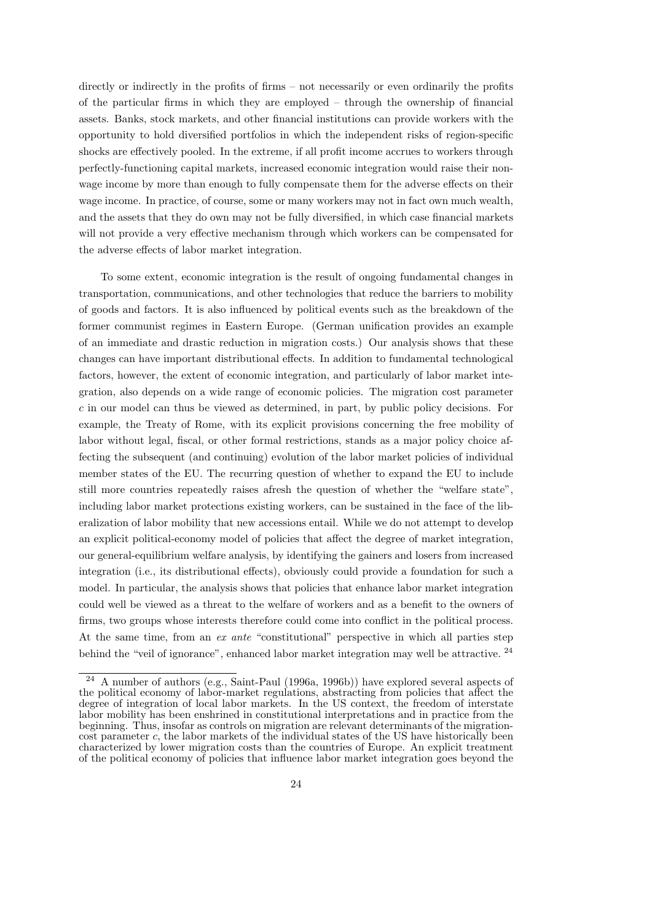directly or indirectly in the profits of firms – not necessarily or even ordinarily the profits of the particular firms in which they are employed – through the ownership of financial assets. Banks, stock markets, and other financial institutions can provide workers with the opportunity to hold diversified portfolios in which the independent risks of region-specific shocks are effectively pooled. In the extreme, if all profit income accrues to workers through perfectly-functioning capital markets, increased economic integration would raise their nonwage income by more than enough to fully compensate them for the adverse effects on their wage income. In practice, of course, some or many workers may not in fact own much wealth, and the assets that they do own may not be fully diversified, in which case financial markets will not provide a very effective mechanism through which workers can be compensated for the adverse effects of labor market integration.

To some extent, economic integration is the result of ongoing fundamental changes in transportation, communications, and other technologies that reduce the barriers to mobility of goods and factors. It is also influenced by political events such as the breakdown of the former communist regimes in Eastern Europe. (German unification provides an example of an immediate and drastic reduction in migration costs.) Our analysis shows that these changes can have important distributional effects. In addition to fundamental technological factors, however, the extent of economic integration, and particularly of labor market integration, also depends on a wide range of economic policies. The migration cost parameter c in our model can thus be viewed as determined, in part, by public policy decisions. For example, the Treaty of Rome, with its explicit provisions concerning the free mobility of labor without legal, fiscal, or other formal restrictions, stands as a major policy choice affecting the subsequent (and continuing) evolution of the labor market policies of individual member states of the EU. The recurring question of whether to expand the EU to include still more countries repeatedly raises afresh the question of whether the "welfare state", including labor market protections existing workers, can be sustained in the face of the liberalization of labor mobility that new accessions entail. While we do not attempt to develop an explicit political-economy model of policies that affect the degree of market integration, our general-equilibrium welfare analysis, by identifying the gainers and losers from increased integration (i.e., its distributional effects), obviously could provide a foundation for such a model. In particular, the analysis shows that policies that enhance labor market integration could well be viewed as a threat to the welfare of workers and as a benefit to the owners of firms, two groups whose interests therefore could come into conflict in the political process. At the same time, from an ex ante "constitutional" perspective in which all parties step behind the "veil of ignorance", enhanced labor market integration may well be attractive. <sup>24</sup>

<sup>24</sup> A number of authors (e.g., Saint-Paul (1996a, 1996b)) have explored several aspects of the political economy of labor-market regulations, abstracting from policies that affect the degree of integration of local labor markets. In the US context, the freedom of interstate labor mobility has been enshrined in constitutional interpretations and in practice from the beginning. Thus, insofar as controls on migration are relevant determinants of the migrationcost parameter c, the labor markets of the individual states of the US have historically been characterized by lower migration costs than the countries of Europe. An explicit treatment of the political economy of policies that influence labor market integration goes beyond the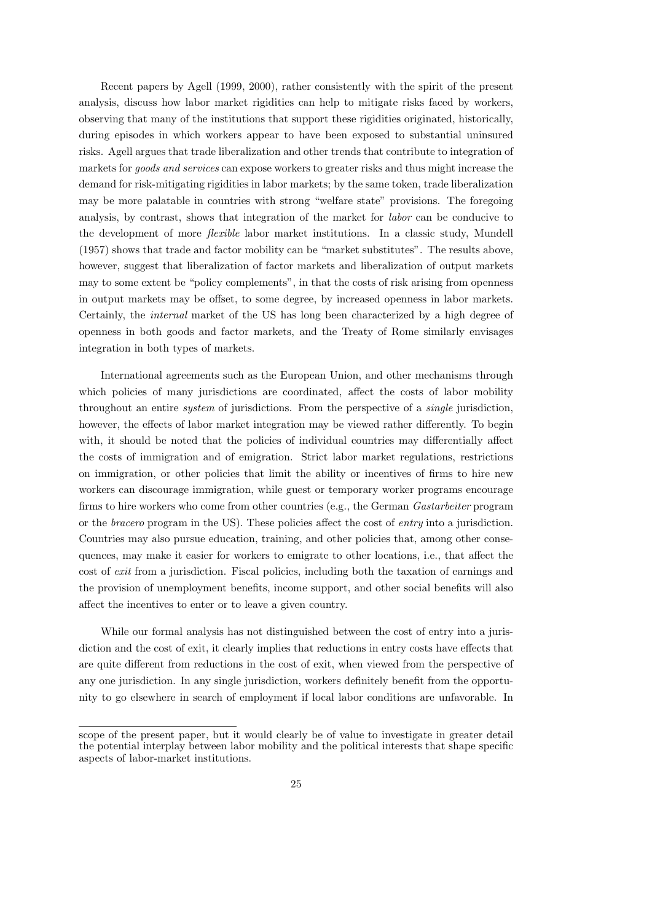Recent papers by Agell (1999, 2000), rather consistently with the spirit of the present analysis, discuss how labor market rigidities can help to mitigate risks faced by workers, observing that many of the institutions that support these rigidities originated, historically, during episodes in which workers appear to have been exposed to substantial uninsured risks. Agell argues that trade liberalization and other trends that contribute to integration of markets for goods and services can expose workers to greater risks and thus might increase the demand for risk-mitigating rigidities in labor markets; by the same token, trade liberalization may be more palatable in countries with strong "welfare state" provisions. The foregoing analysis, by contrast, shows that integration of the market for labor can be conducive to the development of more flexible labor market institutions. In a classic study, Mundell (1957) shows that trade and factor mobility can be "market substitutes". The results above, however, suggest that liberalization of factor markets and liberalization of output markets may to some extent be "policy complements", in that the costs of risk arising from openness in output markets may be offset, to some degree, by increased openness in labor markets. Certainly, the internal market of the US has long been characterized by a high degree of openness in both goods and factor markets, and the Treaty of Rome similarly envisages integration in both types of markets.

International agreements such as the European Union, and other mechanisms through which policies of many jurisdictions are coordinated, affect the costs of labor mobility throughout an entire system of jurisdictions. From the perspective of a single jurisdiction, however, the effects of labor market integration may be viewed rather differently. To begin with, it should be noted that the policies of individual countries may differentially affect the costs of immigration and of emigration. Strict labor market regulations, restrictions on immigration, or other policies that limit the ability or incentives of firms to hire new workers can discourage immigration, while guest or temporary worker programs encourage firms to hire workers who come from other countries (e.g., the German Gastarbeiter program or the bracero program in the US). These policies affect the cost of entry into a jurisdiction. Countries may also pursue education, training, and other policies that, among other consequences, may make it easier for workers to emigrate to other locations, i.e., that affect the cost of exit from a jurisdiction. Fiscal policies, including both the taxation of earnings and the provision of unemployment benefits, income support, and other social benefits will also affect the incentives to enter or to leave a given country.

While our formal analysis has not distinguished between the cost of entry into a jurisdiction and the cost of exit, it clearly implies that reductions in entry costs have effects that are quite different from reductions in the cost of exit, when viewed from the perspective of any one jurisdiction. In any single jurisdiction, workers definitely benefit from the opportunity to go elsewhere in search of employment if local labor conditions are unfavorable. In

scope of the present paper, but it would clearly be of value to investigate in greater detail the potential interplay between labor mobility and the political interests that shape specific aspects of labor-market institutions.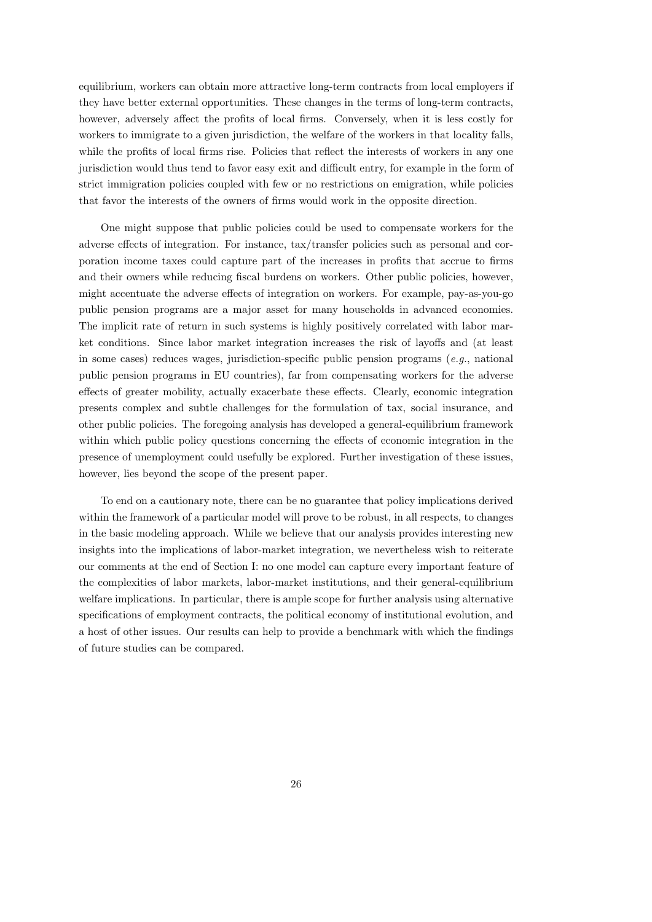equilibrium, workers can obtain more attractive long-term contracts from local employers if they have better external opportunities. These changes in the terms of long-term contracts, however, adversely affect the profits of local firms. Conversely, when it is less costly for workers to immigrate to a given jurisdiction, the welfare of the workers in that locality falls, while the profits of local firms rise. Policies that reflect the interests of workers in any one jurisdiction would thus tend to favor easy exit and difficult entry, for example in the form of strict immigration policies coupled with few or no restrictions on emigration, while policies that favor the interests of the owners of firms would work in the opposite direction.

One might suppose that public policies could be used to compensate workers for the adverse effects of integration. For instance, tax/transfer policies such as personal and corporation income taxes could capture part of the increases in profits that accrue to firms and their owners while reducing fiscal burdens on workers. Other public policies, however, might accentuate the adverse effects of integration on workers. For example, pay-as-you-go public pension programs are a major asset for many households in advanced economies. The implicit rate of return in such systems is highly positively correlated with labor market conditions. Since labor market integration increases the risk of layoffs and (at least in some cases) reduces wages, jurisdiction-specific public pension programs (e.g., national public pension programs in EU countries), far from compensating workers for the adverse effects of greater mobility, actually exacerbate these effects. Clearly, economic integration presents complex and subtle challenges for the formulation of tax, social insurance, and other public policies. The foregoing analysis has developed a general-equilibrium framework within which public policy questions concerning the effects of economic integration in the presence of unemployment could usefully be explored. Further investigation of these issues, however, lies beyond the scope of the present paper.

To end on a cautionary note, there can be no guarantee that policy implications derived within the framework of a particular model will prove to be robust, in all respects, to changes in the basic modeling approach. While we believe that our analysis provides interesting new insights into the implications of labor-market integration, we nevertheless wish to reiterate our comments at the end of Section I: no one model can capture every important feature of the complexities of labor markets, labor-market institutions, and their general-equilibrium welfare implications. In particular, there is ample scope for further analysis using alternative specifications of employment contracts, the political economy of institutional evolution, and a host of other issues. Our results can help to provide a benchmark with which the findings of future studies can be compared.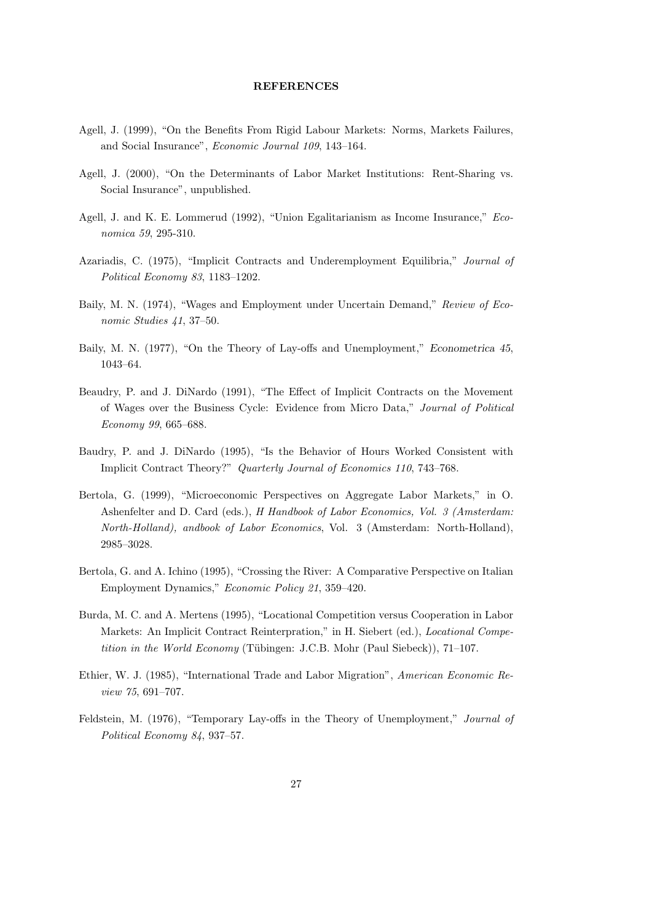#### **REFERENCES**

- Agell, J. (1999), "On the Benefits From Rigid Labour Markets: Norms, Markets Failures, and Social Insurance", Economic Journal 109, 143–164.
- Agell, J. (2000), "On the Determinants of Labor Market Institutions: Rent-Sharing vs. Social Insurance", unpublished.
- Agell, J. and K. E. Lommerud (1992), "Union Egalitarianism as Income Insurance," Economica 59, 295-310.
- Azariadis, C. (1975), "Implicit Contracts and Underemployment Equilibria," Journal of Political Economy 83, 1183–1202.
- Baily, M. N. (1974), "Wages and Employment under Uncertain Demand," Review of Economic Studies 41, 37–50.
- Baily, M. N. (1977), "On the Theory of Lay-offs and Unemployment," Econometrica 45, 1043–64.
- Beaudry, P. and J. DiNardo (1991), "The Effect of Implicit Contracts on the Movement of Wages over the Business Cycle: Evidence from Micro Data," Journal of Political Economy 99, 665–688.
- Baudry, P. and J. DiNardo (1995), "Is the Behavior of Hours Worked Consistent with Implicit Contract Theory?" Quarterly Journal of Economics 110, 743–768.
- Bertola, G. (1999), "Microeconomic Perspectives on Aggregate Labor Markets," in O. Ashenfelter and D. Card (eds.), H Handbook of Labor Economics, Vol. 3 (Amsterdam: North-Holland), andbook of Labor Economics, Vol. 3 (Amsterdam: North-Holland), 2985–3028.
- Bertola, G. and A. Ichino (1995), "Crossing the River: A Comparative Perspective on Italian Employment Dynamics," Economic Policy 21, 359–420.
- Burda, M. C. and A. Mertens (1995), "Locational Competition versus Cooperation in Labor Markets: An Implicit Contract Reinterpration," in H. Siebert (ed.), Locational Competition in the World Economy (Tübingen: J.C.B. Mohr (Paul Siebeck)),  $71-107$ .
- Ethier, W. J. (1985), "International Trade and Labor Migration", American Economic Review 75, 691–707.
- Feldstein, M. (1976), "Temporary Lay-offs in the Theory of Unemployment," Journal of Political Economy 84, 937–57.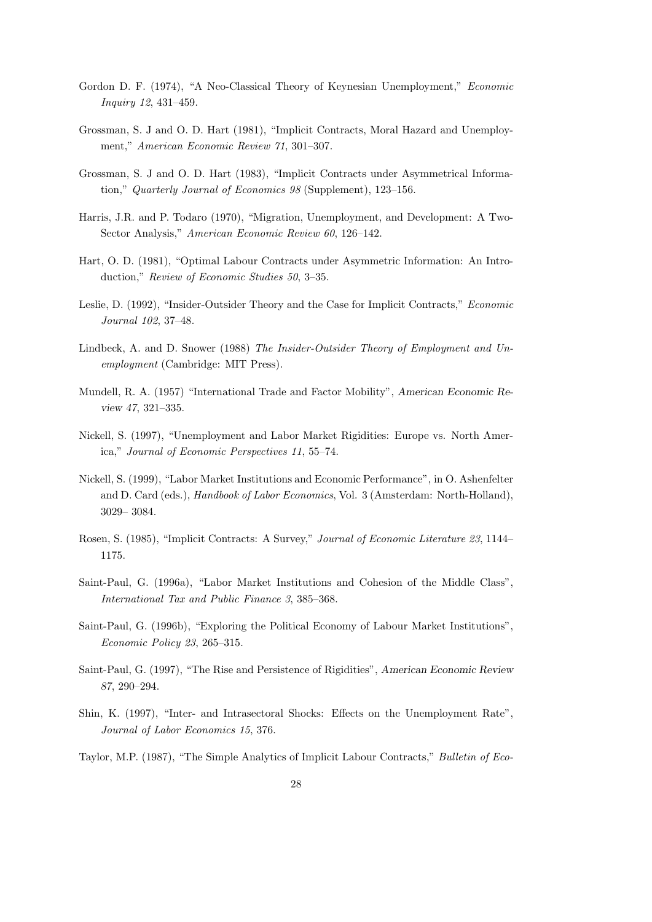- Gordon D. F. (1974), "A Neo-Classical Theory of Keynesian Unemployment," *Economic* Inquiry 12, 431–459.
- Grossman, S. J and O. D. Hart (1981), "Implicit Contracts, Moral Hazard and Unemployment," American Economic Review 71, 301–307.
- Grossman, S. J and O. D. Hart (1983), "Implicit Contracts under Asymmetrical Information," Quarterly Journal of Economics 98 (Supplement), 123–156.
- Harris, J.R. and P. Todaro (1970), "Migration, Unemployment, and Development: A Two-Sector Analysis," American Economic Review 60, 126–142.
- Hart, O. D. (1981), "Optimal Labour Contracts under Asymmetric Information: An Introduction," Review of Economic Studies 50, 3–35.
- Leslie, D. (1992), "Insider-Outsider Theory and the Case for Implicit Contracts," Economic Journal 102, 37–48.
- Lindbeck, A. and D. Snower (1988) The Insider-Outsider Theory of Employment and Unemployment (Cambridge: MIT Press).
- Mundell, R. A. (1957) "International Trade and Factor Mobility", American Economic Review 47, 321–335.
- Nickell, S. (1997), "Unemployment and Labor Market Rigidities: Europe vs. North America," Journal of Economic Perspectives 11, 55–74.
- Nickell, S. (1999), "Labor Market Institutions and Economic Performance", in O. Ashenfelter and D. Card (eds.), Handbook of Labor Economics, Vol. 3 (Amsterdam: North-Holland), 3029– 3084.
- Rosen, S. (1985), "Implicit Contracts: A Survey," Journal of Economic Literature 23, 1144– 1175.
- Saint-Paul, G. (1996a), "Labor Market Institutions and Cohesion of the Middle Class", International Tax and Public Finance 3, 385–368.
- Saint-Paul, G. (1996b), "Exploring the Political Economy of Labour Market Institutions", Economic Policy 23, 265–315.
- Saint-Paul, G. (1997), "The Rise and Persistence of Rigidities", American Economic Review 87, 290–294.
- Shin, K. (1997), "Inter- and Intrasectoral Shocks: Effects on the Unemployment Rate", Journal of Labor Economics 15, 376.
- Taylor, M.P. (1987), "The Simple Analytics of Implicit Labour Contracts," Bulletin of Eco-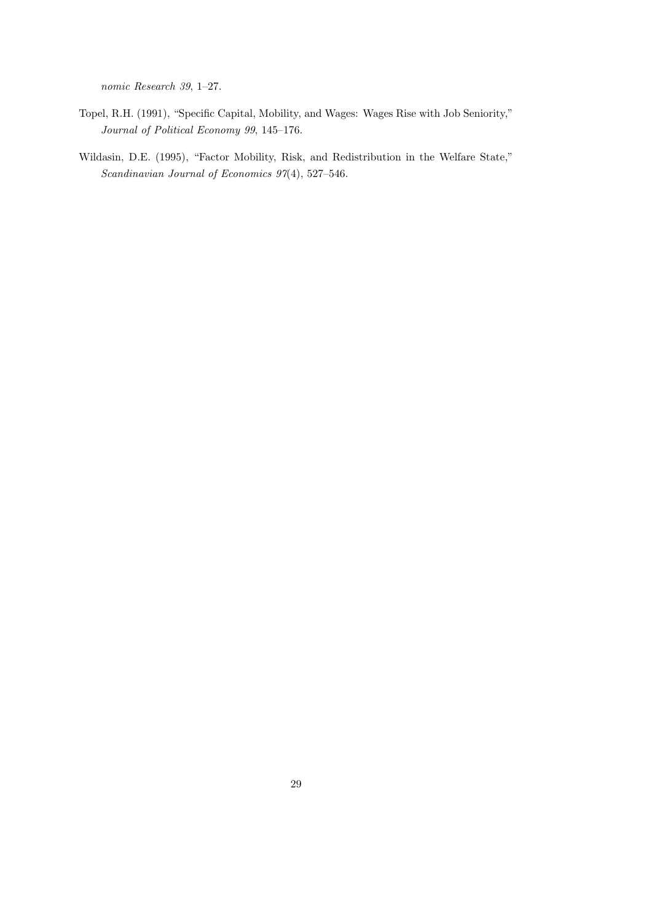nomic Research 39, 1–27.

- Topel, R.H. (1991), "Specific Capital, Mobility, and Wages: Wages Rise with Job Seniority," Journal of Political Economy 99, 145–176.
- Wildasin, D.E. (1995), "Factor Mobility, Risk, and Redistribution in the Welfare State," Scandinavian Journal of Economics 97(4), 527–546.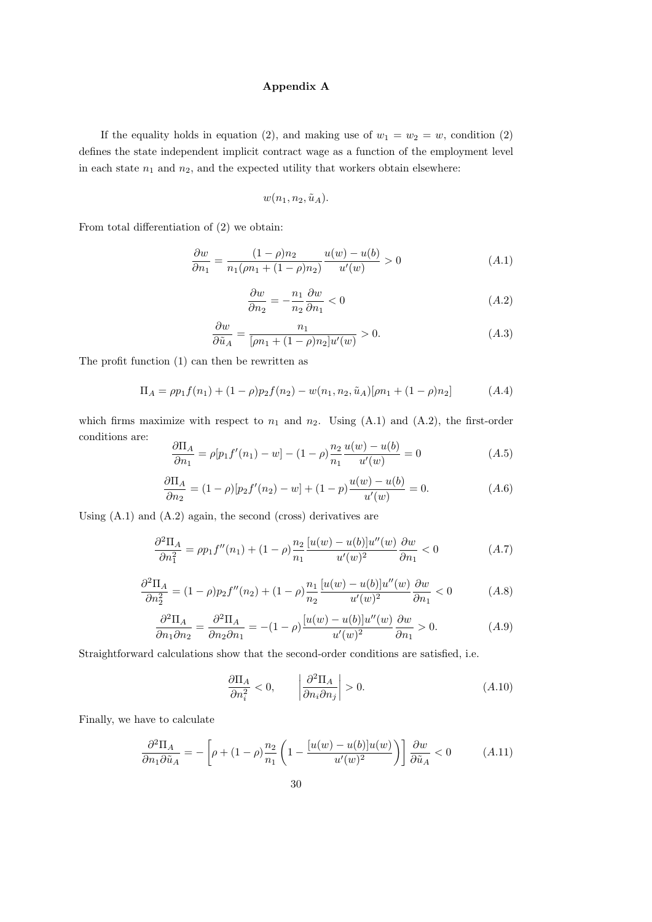#### Appendix A

If the equality holds in equation (2), and making use of  $w_1 = w_2 = w$ , condition (2) defines the state independent implicit contract wage as a function of the employment level in each state  $n_1$  and  $n_2$ , and the expected utility that workers obtain elsewhere:

$$
w(n_1, n_2, \tilde{u}_A).
$$

From total differentiation of (2) we obtain:

$$
\frac{\partial w}{\partial n_1} = \frac{(1-\rho)n_2}{n_1(\rho n_1 + (1-\rho)n_2)} \frac{u(w) - u(b)}{u'(w)} > 0
$$
\n(A.1)

$$
\frac{\partial w}{\partial n_2} = -\frac{n_1}{n_2} \frac{\partial w}{\partial n_1} < 0 \tag{A.2}
$$

$$
\frac{\partial w}{\partial \tilde{u}_A} = \frac{n_1}{[\rho n_1 + (1 - \rho)n_2]u'(w)} > 0.
$$
 (A.3)

The profit function (1) can then be rewritten as

$$
\Pi_A = \rho p_1 f(n_1) + (1 - \rho) p_2 f(n_2) - w(n_1, n_2, \tilde{u}_A) [\rho n_1 + (1 - \rho) n_2]
$$
 (A.4)

which firms maximize with respect to  $n_1$  and  $n_2$ . Using (A.1) and (A.2), the first-order conditions are:

$$
\frac{\partial \Pi_A}{\partial n_1} = \rho[p_1 f'(n_1) - w] - (1 - \rho) \frac{n_2}{n_1} \frac{u(w) - u(b)}{u'(w)} = 0
$$
\n(A.5)

$$
\frac{\partial \Pi_A}{\partial n_2} = (1 - \rho)[p_2 f'(n_2) - w] + (1 - p) \frac{u(w) - u(b)}{u'(w)} = 0.
$$
\n(A.6)

Using (A.1) and (A.2) again, the second (cross) derivatives are

$$
\frac{\partial^2 \Pi_A}{\partial n_1^2} = \rho p_1 f''(n_1) + (1 - \rho) \frac{n_2}{n_1} \frac{[u(w) - u(b)]u''(w)}{u'(w)^2} \frac{\partial w}{\partial n_1} < 0 \tag{A.7}
$$

$$
\frac{\partial^2 \Pi_A}{\partial n_2^2} = (1 - \rho)p_2 f''(n_2) + (1 - \rho) \frac{n_1}{n_2} \frac{[u(w) - u(b)]u''(w)}{u'(w)^2} \frac{\partial w}{\partial n_1} < 0 \tag{A.8}
$$

$$
\frac{\partial^2 \Pi_A}{\partial n_1 \partial n_2} = \frac{\partial^2 \Pi_A}{\partial n_2 \partial n_1} = -(1 - \rho) \frac{[u(w) - u(b)]u''(w)}{u'(w)^2} \frac{\partial w}{\partial n_1} > 0.
$$
 (A.9)

Straightforward calculations show that the second-order conditions are satisfied, i.e.

$$
\frac{\partial \Pi_A}{\partial n_i^2} < 0, \qquad \left| \frac{\partial^2 \Pi_A}{\partial n_i \partial n_j} \right| > 0. \tag{A.10}
$$

Finally, we have to calculate

$$
\frac{\partial^2 \Pi_A}{\partial n_1 \partial \tilde{u}_A} = -\left[\rho + (1-\rho) \frac{n_2}{n_1} \left(1 - \frac{[u(w) - u(b)]u(w)}{u'(w)^2}\right)\right] \frac{\partial w}{\partial \tilde{u}_A} < 0 \tag{A.11}
$$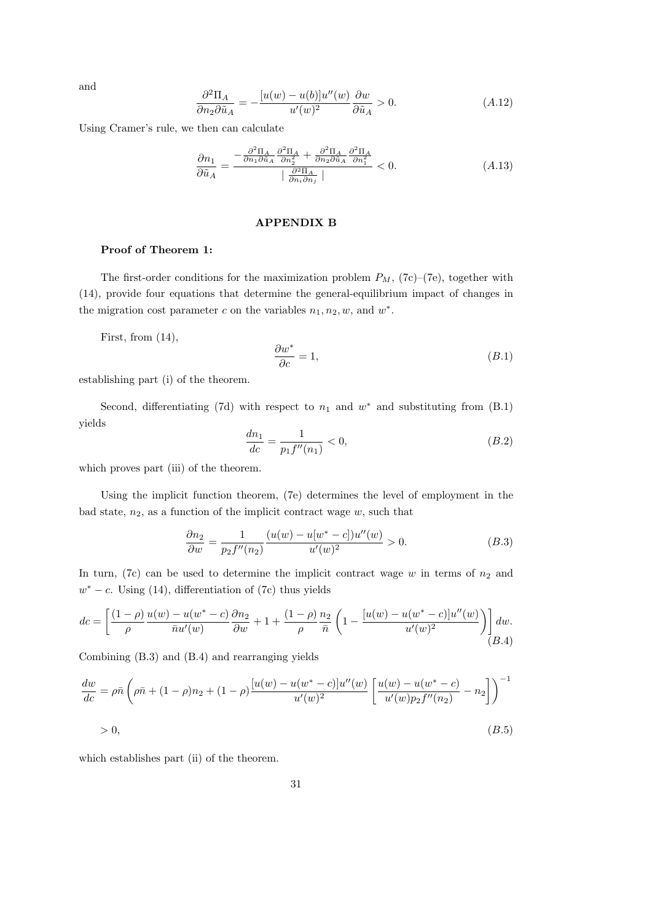and

$$
\frac{\partial^2 \Pi_A}{\partial n_2 \partial \tilde{u}_A} = -\frac{[u(w) - u(b)]u''(w)}{u'(w)^2} \frac{\partial w}{\partial \tilde{u}_A} > 0.
$$
\n(A.12)

Using Cramer's rule, we then can calculate

$$
\frac{\partial n_1}{\partial \tilde{u}_A} = \frac{-\frac{\partial^2 \Pi_A}{\partial n_1 \partial \tilde{u}_A} \frac{\partial^2 \Pi_A}{\partial n_2^2} + \frac{\partial^2 \Pi_A}{\partial n_2 \partial \tilde{u}_A} \frac{\partial^2 \Pi_A}{\partial n_1^2}}{\left|\frac{\partial^2 \Pi_A}{\partial n_i \partial n_j}\right|} < 0. \tag{A.13}
$$

### APPENDIX B

#### Proof of Theorem 1:

The first-order conditions for the maximization problem  $P_M$ , (7c)–(7e), together with (14), provide four equations that determine the general-equilibrium impact of changes in the migration cost parameter c on the variables  $n_1, n_2, w$ , and  $w^*$ .

First, from (14),

$$
\frac{\partial w^*}{\partial c} = 1,\tag{B.1}
$$

establishing part (i) of the theorem.

Second, differentiating (7d) with respect to  $n_1$  and  $w^*$  and substituting from (B.1) yields

$$
\frac{dn_1}{dc} = \frac{1}{p_1 f''(n_1)} < 0,\tag{B.2}
$$

which proves part (iii) of the theorem.

Using the implicit function theorem, (7e) determines the level of employment in the bad state,  $n_2$ , as a function of the implicit contract wage w, such that

$$
\frac{\partial n_2}{\partial w} = \frac{1}{p_2 f''(n_2)} \frac{(u(w) - u[w^* - c])u''(w)}{u'(w)^2} > 0.
$$
 (B.3)

In turn, (7c) can be used to determine the implicit contract wage w in terms of  $n_2$  and  $w^* - c$ . Using (14), differentiation of (7c) thus yields

$$
dc = \left[ \frac{(1-\rho)}{\rho} \frac{u(w) - u(w^* - c)}{\bar{n}u'(w)} \frac{\partial n_2}{\partial w} + 1 + \frac{(1-\rho)}{\rho} \frac{n_2}{\bar{n}} \left( 1 - \frac{[u(w) - u(w^* - c)]u''(w)}{u'(w)^2} \right) \right] dw.
$$
\n(B.4)

Combining (B.3) and (B.4) and rearranging yields

$$
\frac{dw}{dc} = \rho \bar{n} \left( \rho \bar{n} + (1 - \rho)n_2 + (1 - \rho) \frac{[u(w) - u(w^* - c)]u''(w)}{u'(w)^2} \left[ \frac{u(w) - u(w^* - c)}{u'(w)p_2 f''(n_2)} - n_2 \right] \right)^{-1}
$$
  
> 0, (B.5)

which establishes part (ii) of the theorem.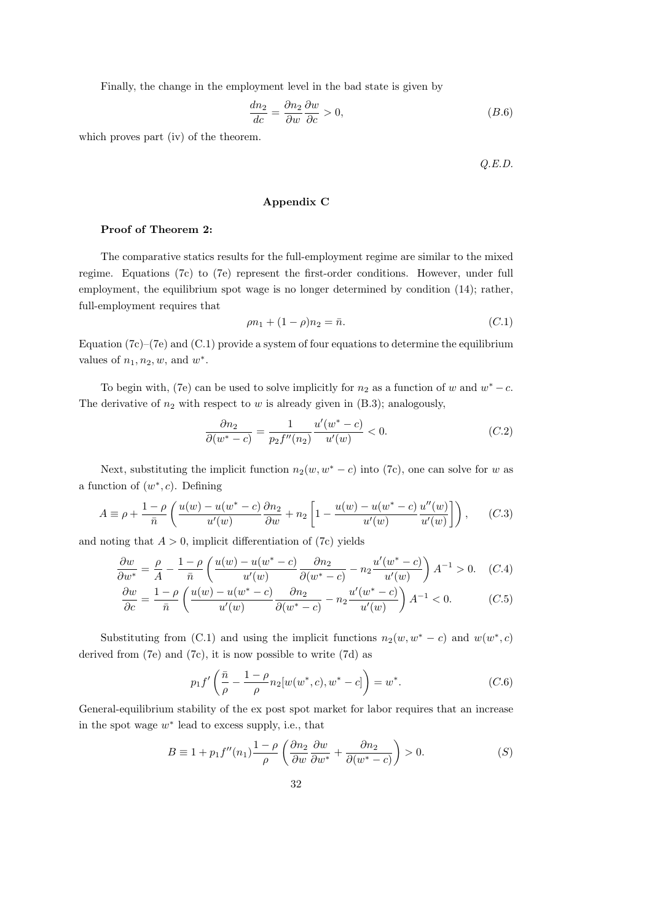Finally, the change in the employment level in the bad state is given by

$$
\frac{dn_2}{dc} = \frac{\partial n_2}{\partial w} \frac{\partial w}{\partial c} > 0,
$$
\n(B.6)

which proves part (iv) of the theorem.

Q.E.D.

### Appendix C

#### Proof of Theorem 2:

The comparative statics results for the full-employment regime are similar to the mixed regime. Equations (7c) to (7e) represent the first-order conditions. However, under full employment, the equilibrium spot wage is no longer determined by condition  $(14)$ ; rather, full-employment requires that

$$
\rho n_1 + (1 - \rho)n_2 = \bar{n}.\tag{C.1}
$$

Equation  $(7c)$ – $(7e)$  and  $(C.1)$  provide a system of four equations to determine the equilibrium values of  $n_1, n_2, w$ , and  $w^*$ .

To begin with, (7e) can be used to solve implicitly for  $n_2$  as a function of w and  $w^* - c$ . The derivative of  $n_2$  with respect to w is already given in  $(B.3)$ ; analogously,

$$
\frac{\partial n_2}{\partial (w^* - c)} = \frac{1}{p_2 f''(n_2)} \frac{u'(w^* - c)}{u'(w)} < 0. \tag{C.2}
$$

Next, substituting the implicit function  $n_2(w, w^* - c)$  into (7c), one can solve for w as a function of  $(w^*, c)$ . Defining

$$
A \equiv \rho + \frac{1 - \rho}{\bar{n}} \left( \frac{u(w) - u(w^* - c)}{u'(w)} \frac{\partial n_2}{\partial w} + n_2 \left[ 1 - \frac{u(w) - u(w^* - c)}{u'(w)} \frac{u''(w)}{u'(w)} \right] \right), \quad (C.3)
$$

and noting that  $A > 0$ , implicit differentiation of (7c) yields

$$
\frac{\partial w}{\partial w^*} = \frac{\rho}{A} - \frac{1-\rho}{\bar{n}} \left( \frac{u(w) - u(w^* - c)}{u'(w)} \frac{\partial n_2}{\partial (w^* - c)} - n_2 \frac{u'(w^* - c)}{u'(w)} \right) A^{-1} > 0. \quad (C.4)
$$

$$
\frac{\partial w}{\partial c} = \frac{1-\rho}{\bar{n}} \left( \frac{u(w) - u(w^* - c)}{u'(w)} \frac{\partial n_2}{\partial (w^* - c)} - n_2 \frac{u'(w^* - c)}{u'(w)} \right) A^{-1} < 0. \tag{C.5}
$$

Substituting from (C.1) and using the implicit functions  $n_2(w, w^* - c)$  and  $w(w^*, c)$ derived from (7e) and (7c), it is now possible to write (7d) as

$$
p_1 f'\left(\frac{\bar{n}}{\rho} - \frac{1-\rho}{\rho} n_2[w(w^*, c), w^* - c]\right) = w^*.
$$
 (C.6)

General-equilibrium stability of the ex post spot market for labor requires that an increase in the spot wage  $w^*$  lead to excess supply, i.e., that

$$
B \equiv 1 + p_1 f''(n_1) \frac{1 - \rho}{\rho} \left( \frac{\partial n_2}{\partial w} \frac{\partial w}{\partial w^*} + \frac{\partial n_2}{\partial (w^* - c)} \right) > 0. \tag{S}
$$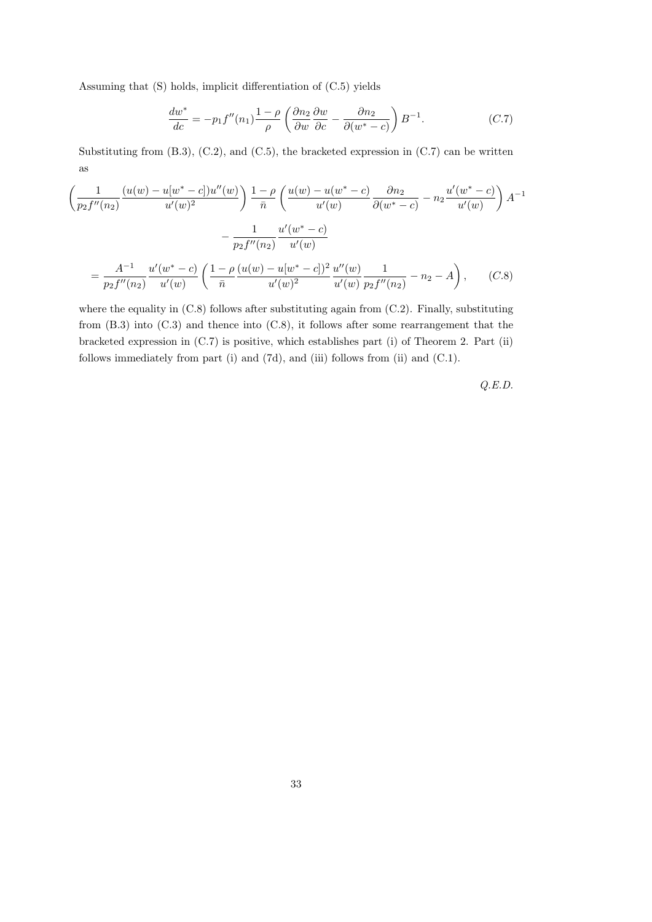Assuming that (S) holds, implicit differentiation of (C.5) yields

$$
\frac{dw^*}{dc} = -p_1 f''(n_1) \frac{1-\rho}{\rho} \left( \frac{\partial n_2}{\partial w} \frac{\partial w}{\partial c} - \frac{\partial n_2}{\partial (w^* - c)} \right) B^{-1}.
$$
 (C.7)

Substituting from  $(B.3)$ ,  $(C.2)$ , and  $(C.5)$ , the bracketed expression in  $(C.7)$  can be written as

$$
\left(\frac{1}{p_2 f''(n_2)}\frac{(u(w) - u[w^* - c])u''(w)}{u'(w)^2}\right) \frac{1 - \rho}{\bar{n}} \left(\frac{u(w) - u(w^* - c)}{u'(w)}\frac{\partial n_2}{\partial (w^* - c)} - n_2 \frac{u'(w^* - c)}{u'(w)}\right) A^{-1}
$$

$$
- \frac{1}{p_2 f''(n_2)} \frac{u'(w^* - c)}{u'(w)}
$$

$$
= \frac{A^{-1}}{p_2 f''(n_2)} \frac{u'(w^* - c)}{u'(w)} \left(\frac{1 - \rho}{\bar{n}} \frac{(u(w) - u[w^* - c])^2}{u'(w)^2} \frac{u''(w)}{u'(w)}\frac{1}{p_2 f''(n_2)} - n_2 - A\right), \qquad (C.8)
$$

where the equality in  $(C.8)$  follows after substituting again from  $(C.2)$ . Finally, substituting from (B.3) into (C.3) and thence into (C.8), it follows after some rearrangement that the bracketed expression in (C.7) is positive, which establishes part (i) of Theorem 2. Part (ii) follows immediately from part (i) and (7d), and (iii) follows from (ii) and (C.1).

Q.E.D.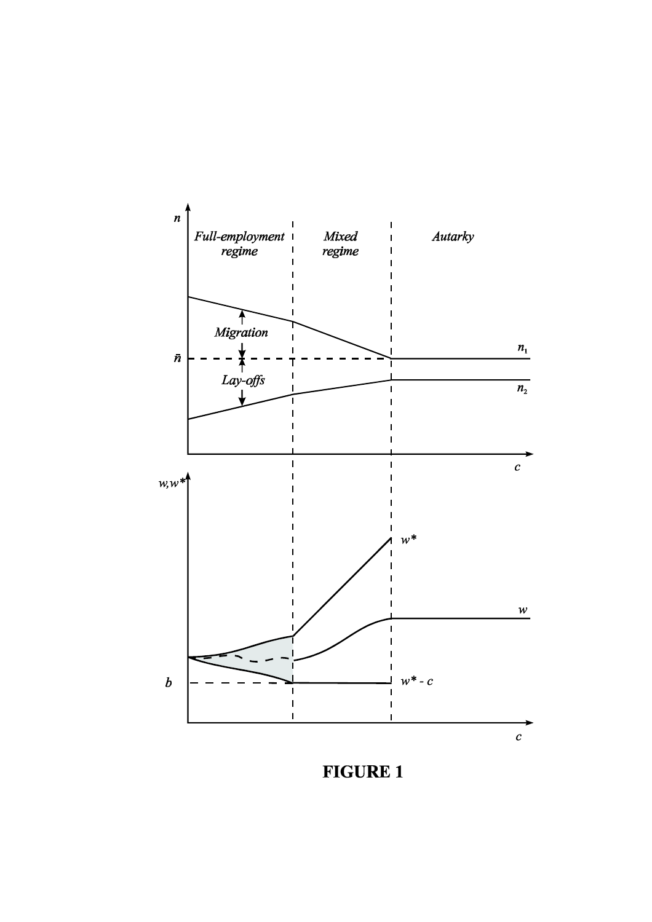

**FIGURE 1**